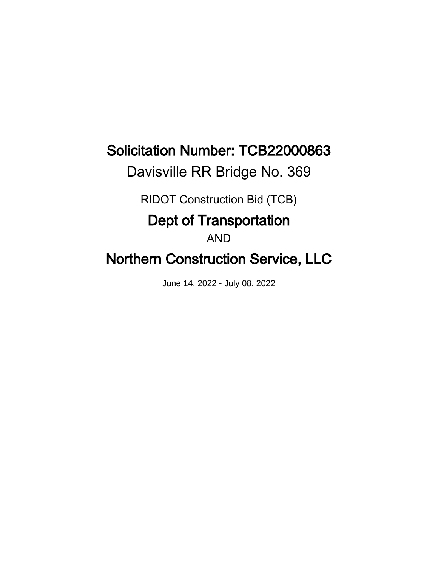# Solicitation Number: TCB22000863

Davisville RR Bridge No. 369

RIDOT Construction Bid (TCB)

# Dept of Transportation

AND

# Northern Construction Service, LLC

June 14, 2022 - July 08, 2022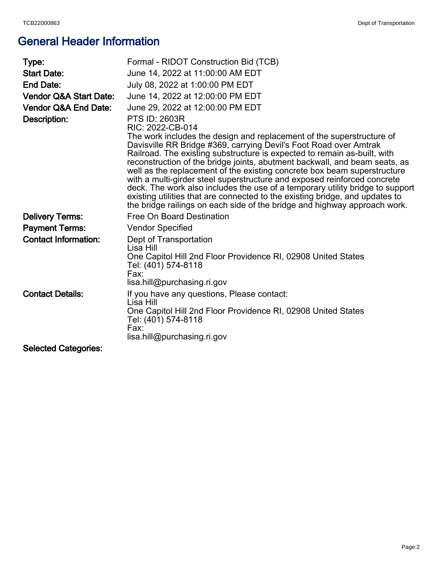# General Header Information

| Type:                             | Formal - RIDOT Construction Bid (TCB)                                                                                                                                                                                                                                                                                                                                                                                                                                                                                                                                                                                                                                                                                                                  |
|-----------------------------------|--------------------------------------------------------------------------------------------------------------------------------------------------------------------------------------------------------------------------------------------------------------------------------------------------------------------------------------------------------------------------------------------------------------------------------------------------------------------------------------------------------------------------------------------------------------------------------------------------------------------------------------------------------------------------------------------------------------------------------------------------------|
| <b>Start Date:</b>                | June 14, 2022 at 11:00:00 AM EDT                                                                                                                                                                                                                                                                                                                                                                                                                                                                                                                                                                                                                                                                                                                       |
| <b>End Date:</b>                  | July 08, 2022 at 1:00:00 PM EDT                                                                                                                                                                                                                                                                                                                                                                                                                                                                                                                                                                                                                                                                                                                        |
| <b>Vendor Q&amp;A Start Date:</b> | June 14, 2022 at 12:00:00 PM EDT                                                                                                                                                                                                                                                                                                                                                                                                                                                                                                                                                                                                                                                                                                                       |
| <b>Vendor Q&amp;A End Date:</b>   | June 29, 2022 at 12:00:00 PM EDT                                                                                                                                                                                                                                                                                                                                                                                                                                                                                                                                                                                                                                                                                                                       |
| Description:                      | <b>PTS ID: 2603R</b><br>RIC: 2022-CB-014<br>The work includes the design and replacement of the superstructure of<br>Davisville RR Bridge #369, carrying Devil's Foot Road over Amtrak<br>Railroad. The existing substructure is expected to remain as-built, with<br>reconstruction of the bridge joints, abutment backwall, and beam seats, as<br>well as the replacement of the existing concrete box beam superstructure<br>with a multi-girder steel superstructure and exposed reinforced concrete<br>deck. The work also includes the use of a temporary utility bridge to support<br>existing utilities that are connected to the existing bridge, and updates to<br>the bridge railings on each side of the bridge and highway approach work. |
| <b>Delivery Terms:</b>            | Free On Board Destination                                                                                                                                                                                                                                                                                                                                                                                                                                                                                                                                                                                                                                                                                                                              |
| <b>Payment Terms:</b>             | <b>Vendor Specified</b>                                                                                                                                                                                                                                                                                                                                                                                                                                                                                                                                                                                                                                                                                                                                |
| <b>Contact Information:</b>       | Dept of Transportation<br>Lisa Hill<br>One Capitol Hill 2nd Floor Providence RI, 02908 United States<br>Tel: (401) 574-8118<br>Fax:<br>lisa.hill@purchasing.ri.gov                                                                                                                                                                                                                                                                                                                                                                                                                                                                                                                                                                                     |
| <b>Contact Details:</b>           | If you have any questions, Please contact:<br>Lisa Hill<br>One Capitol Hill 2nd Floor Providence RI, 02908 United States<br>Tel: (401) 574-8118<br>Fax:<br>lisa.hill@purchasing.ri.gov                                                                                                                                                                                                                                                                                                                                                                                                                                                                                                                                                                 |
| <b>Selected Categories:</b>       |                                                                                                                                                                                                                                                                                                                                                                                                                                                                                                                                                                                                                                                                                                                                                        |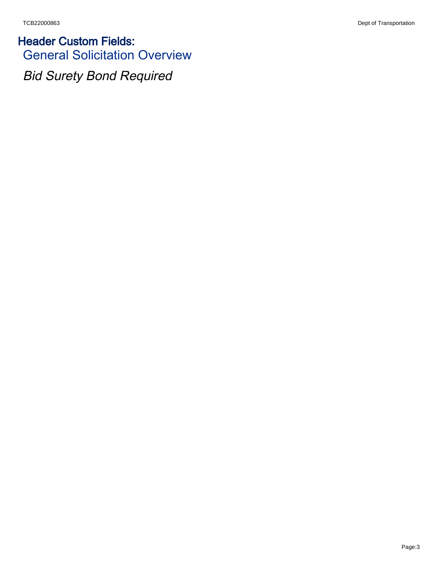Header Custom Fields: General Solicitation Overview

Bid Surety Bond Required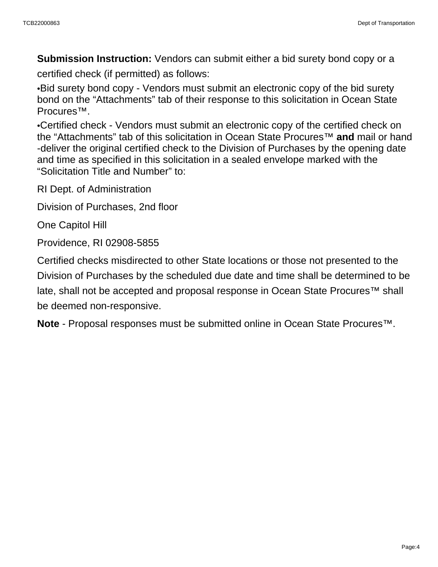**Submission Instruction:** Vendors can submit either a bid surety bond copy or a

certified check (if permitted) as follows:

•Bid surety bond copy - Vendors must submit an electronic copy of the bid surety bond on the "Attachments" tab of their response to this solicitation in Ocean State Procures™.

•Certified check - Vendors must submit an electronic copy of the certified check on the "Attachments" tab of this solicitation in Ocean State Procures™ **and** mail or hand -deliver the original certified check to the Division of Purchases by the opening date and time as specified in this solicitation in a sealed envelope marked with the "Solicitation Title and Number" to:

RI Dept. of Administration

Division of Purchases, 2nd floor

One Capitol Hill

Providence, RI 02908-5855

Certified checks misdirected to other State locations or those not presented to the Division of Purchases by the scheduled due date and time shall be determined to be late, shall not be accepted and proposal response in Ocean State Procures<sup>™</sup> shall be deemed non-responsive.

**Note** - Proposal responses must be submitted online in Ocean State Procures™.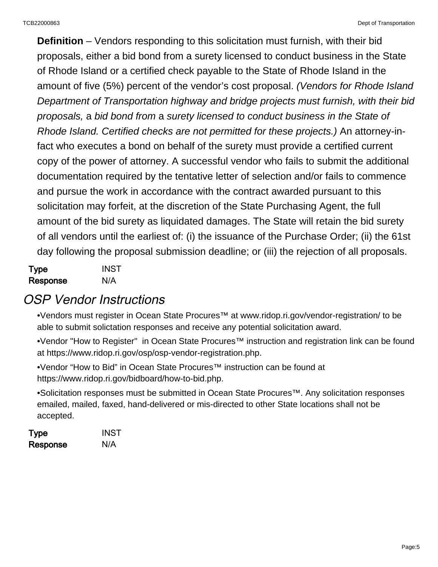**Definition** – Vendors responding to this solicitation must furnish, with their bid proposals, either a bid bond from a surety licensed to conduct business in the State of Rhode Island or a certified check payable to the State of Rhode Island in the amount of five (5%) percent of the vendor's cost proposal. (Vendors for Rhode Island Department of Transportation highway and bridge projects must furnish, with their bid proposals, a bid bond from a surety licensed to conduct business in the State of Rhode Island. Certified checks are not permitted for these projects.) An attorney-infact who executes a bond on behalf of the surety must provide a certified current copy of the power of attorney. A successful vendor who fails to submit the additional documentation required by the tentative letter of selection and/or fails to commence and pursue the work in accordance with the contract awarded pursuant to this solicitation may forfeit, at the discretion of the State Purchasing Agent, the full amount of the bid surety as liquidated damages. The State will retain the bid surety of all vendors until the earliest of: (i) the issuance of the Purchase Order; (ii) the 61st day following the proposal submission deadline; or (iii) the rejection of all proposals.

| Type     | <b>INST</b> |
|----------|-------------|
| Response | N/A         |

### OSP Vendor Instructions

•Vendors must register in Ocean State Procures™ at [www.ridop.ri.gov/vendor-registration/](http://www.ridop.ri.gov/vendor-registration/) to be able to submit solictation responses and receive any potential solicitation award.

•Vendor "How to Register" in Ocean State Procures™ instruction and registration link can be found at [https://www.ridop.ri.gov/osp/osp-vendor-registration.php.](https://www.ridop.ri.gov/osp/osp-vendor-registration.php)

•Vendor "How to Bid" in Ocean State Procures™ instruction can be found at <https://www.ridop.ri.gov/bidboard/how-to-bid.php>.

•Solicitation responses must be submitted in Ocean State Procures™. Any solicitation responses emailed, mailed, faxed, hand-delivered or mis-directed to other State locations shall not be accepted.

| Type     | <b>INST</b> |
|----------|-------------|
| Response | N/A         |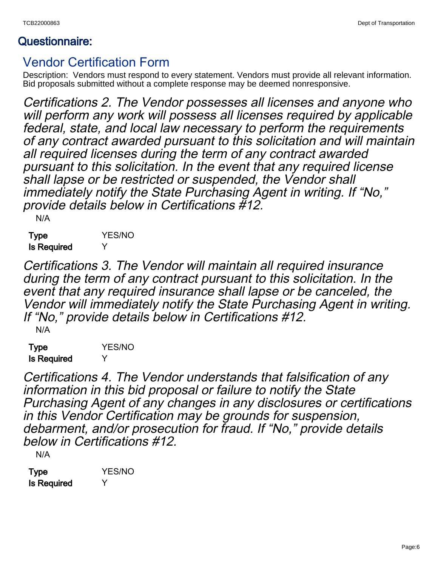### Questionnaire:

### Vendor Certification Form

Description: Vendors must respond to every statement. Vendors must provide all relevant information. Bid proposals submitted without a complete response may be deemed nonresponsive.

Certifications 2. The Vendor possesses all licenses and anyone who will perform any work will possess all licenses required by applicable federal, state, and local law necessary to perform the requirements of any contract awarded pursuant to this solicitation and will maintain all required licenses during the term of any contract awarded pursuant to this solicitation. In the event that any required license shall lapse or be restricted or suspended, the Vendor shall immediately notify the State Purchasing Agent in writing. If "No," provide details below in Certifications #12.

N/A

Type YES/NO Is Required Y

Certifications 3. The Vendor will maintain all required insurance during the term of any contract pursuant to this solicitation. In the event that any required insurance shall lapse or be canceled, the Vendor will immediately notify the State Purchasing Agent in writing. If "No," provide details below in Certifications #12. N/A

Type **YES/NO** Is Required Y

Certifications 4. The Vendor understands that falsification of any information in this bid proposal or failure to notify the State Purchasing Agent of any changes in any disclosures or certifications in this Vendor Certification may be grounds for suspension, debarment, and/or prosecution for fraud. If "No," provide details below in Certifications #12.

N/A

| Type               | <b>YES/NO</b> |
|--------------------|---------------|
| <b>Is Required</b> | Y             |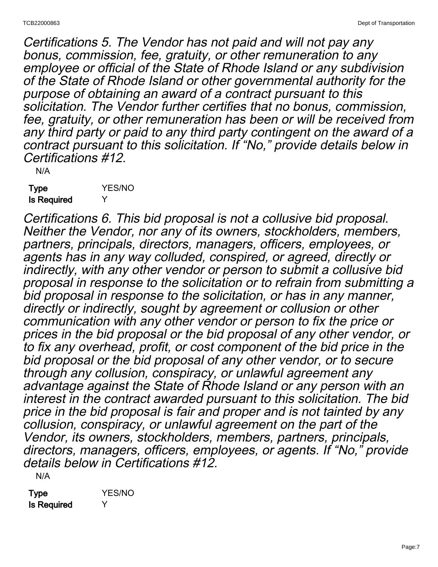Certifications 5. The Vendor has not paid and will not pay any bonus, commission, fee, gratuity, or other remuneration to any employee or official of the State of Rhode Island or any subdivision of the State of Rhode Island or other governmental authority for the purpose of obtaining an award of a contract pursuant to this solicitation. The Vendor further certifies that no bonus, commission, fee, gratuity, or other remuneration has been or will be received from any third party or paid to any third party contingent on the award of a contract pursuant to this solicitation. If "No," provide details below in Certifications #12.

N/A

Type **YES/NO** Is Required Y

Certifications 6. This bid proposal is not a collusive bid proposal. Neither the Vendor, nor any of its owners, stockholders, members, partners, principals, directors, managers, officers, employees, or agents has in any way colluded, conspired, or agreed, directly or indirectly, with any other vendor or person to submit a collusive bid proposal in response to the solicitation or to refrain from submitting a bid proposal in response to the solicitation, or has in any manner, directly or indirectly, sought by agreement or collusion or other communication with any other vendor or person to fix the price or prices in the bid proposal or the bid proposal of any other vendor, or to fix any overhead, profit, or cost component of the bid price in the bid proposal or the bid proposal of any other vendor, or to secure through any collusion, conspiracy, or unlawful agreement any advantage against the State of Rhode Island or any person with an interest in the contract awarded pursuant to this solicitation. The bid price in the bid proposal is fair and proper and is not tainted by any collusion, conspiracy, or unlawful agreement on the part of the Vendor, its owners, stockholders, members, partners, principals, directors, managers, officers, employees, or agents. If "No," provide details below in Certifications #12. N/A

Type **YES/NO** Is Required Y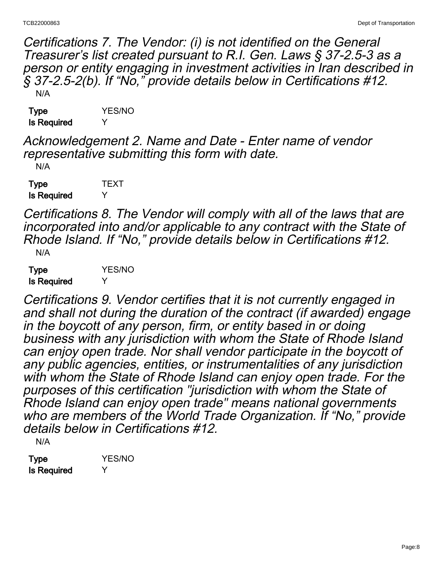Certifications 7. The Vendor: (i) is not identified on the General Treasurer's list created pursuant to R.I. Gen. Laws § 37-2.5-3 as a person or entity engaging in investment activities in Iran described in § 37-2.5-2(b). If "No," provide details below in Certifications #12. N/A

| Type               | <b>YES/NO</b> |
|--------------------|---------------|
| <b>Is Required</b> | Y             |

Acknowledgement 2. Name and Date - Enter name of vendor representative submitting this form with date.

N/A

Type **TEXT** Is Required Y

Certifications 8. The Vendor will comply with all of the laws that are incorporated into and/or applicable to any contract with the State of Rhode Island. If "No," provide details below in Certifications #12. N/A

Type **YES/NO** Is Required Y

Certifications 9. Vendor certifies that it is not currently engaged in and shall not during the duration of the contract (if awarded) engage in the boycott of any person, firm, or entity based in or doing business with any jurisdiction with whom the State of Rhode Island can enjoy open trade. Nor shall vendor participate in the boycott of any public agencies, entities, or instrumentalities of any jurisdiction with whom the State of Rhode Island can enjoy open trade. For the purposes of this certification "jurisdiction with whom the State of Rhode Island can enjoy open trade" means national governments who are members of the World Trade Organization. If "No," provide details below in Certifications #12.

N/A

Type **YES/NO** Is Required Y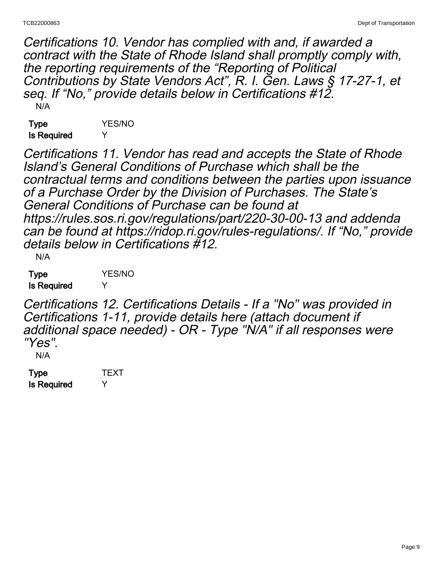Certifications 10. Vendor has complied with and, if awarded a contract with the State of Rhode Island shall promptly comply with, the reporting requirements of the "Reporting of Political Contributions by State Vendors Act", R. I. Gen. Laws § 17-27-1, et seq. If "No," provide details below in Certifications #12. N/A

Type **YES/NO** Is Required Y

Certifications 11. Vendor has read and accepts the State of Rhode Island's General Conditions of Purchase which shall be the contractual terms and conditions between the parties upon issuance of a Purchase Order by the Division of Purchases. The State's General Conditions of Purchase can be found at https://rules.sos.ri.gov/regulations/part/220-30-00-13 and addenda can be found at https://ridop.ri.gov/rules-regulations/. If "No," provide details below in Certifications #12. N/A

| Type               | <b>YES/NO</b> |
|--------------------|---------------|
| <b>Is Required</b> | Y             |

Certifications 12. Certifications Details - If a "No" was provided in Certifications 1-11, provide details here (attach document if additional space needed) - OR - Type "N/A" if all responses were "Yes".

N/A

| Type        | TEXT         |
|-------------|--------------|
| Is Required | $\checkmark$ |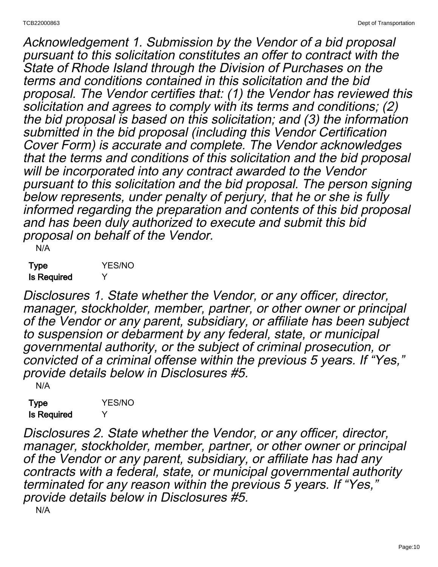Acknowledgement 1. Submission by the Vendor of a bid proposal pursuant to this solicitation constitutes an offer to contract with the State of Rhode Island through the Division of Purchases on the terms and conditions contained in this solicitation and the bid proposal. The Vendor certifies that: (1) the Vendor has reviewed this solicitation and agrees to comply with its terms and conditions; (2) the bid proposal is based on this solicitation; and (3) the information submitted in the bid proposal (including this Vendor Certification Cover Form) is accurate and complete. The Vendor acknowledges that the terms and conditions of this solicitation and the bid proposal will be incorporated into any contract awarded to the Vendor pursuant to this solicitation and the bid proposal. The person signing below represents, under penalty of perjury, that he or she is fully informed regarding the preparation and contents of this bid proposal and has been duly authorized to execute and submit this bid proposal on behalf of the Vendor.

N/A

Type **YES/NO** Is Required Y

Disclosures 1. State whether the Vendor, or any officer, director, manager, stockholder, member, partner, or other owner or principal of the Vendor or any parent, subsidiary, or affiliate has been subject to suspension or debarment by any federal, state, or municipal governmental authority, or the subject of criminal prosecution, or convicted of a criminal offense within the previous 5 years. If "Yes," provide details below in Disclosures #5.

N/A

Type **YES/NO** Is Required Y

Disclosures 2. State whether the Vendor, or any officer, director, manager, stockholder, member, partner, or other owner or principal of the Vendor or any parent, subsidiary, or affiliate has had any contracts with a federal, state, or municipal governmental authority terminated for any reason within the previous 5 years. If "Yes," provide details below in Disclosures #5.

N/A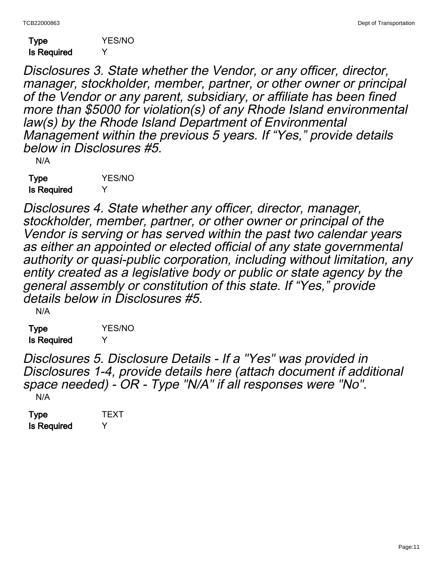| Type        | <b>YES/NO</b> |
|-------------|---------------|
| Is Required | Y             |

Disclosures 3. State whether the Vendor, or any officer, director, manager, stockholder, member, partner, or other owner or principal of the Vendor or any parent, subsidiary, or affiliate has been fined more than \$5000 for violation(s) of any Rhode Island environmental law(s) by the Rhode Island Department of Environmental Management within the previous 5 years. If "Yes," provide details below in Disclosures #5.

N/A

Type YES/NO Is Required Y

Disclosures 4. State whether any officer, director, manager, stockholder, member, partner, or other owner or principal of the Vendor is serving or has served within the past two calendar years as either an appointed or elected official of any state governmental authority or quasi-public corporation, including without limitation, any entity created as a legislative body or public or state agency by the general assembly or constitution of this state. If "Yes," provide details below in Disclosures #5.

N/A

Type YES/NO Is Required Y

Disclosures 5. Disclosure Details - If a "Yes" was provided in Disclosures 1-4, provide details here (attach document if additional space needed) - OR - Type "N/A" if all responses were "No". N/A

| Type               | TEXT |
|--------------------|------|
| <b>Is Required</b> | Y    |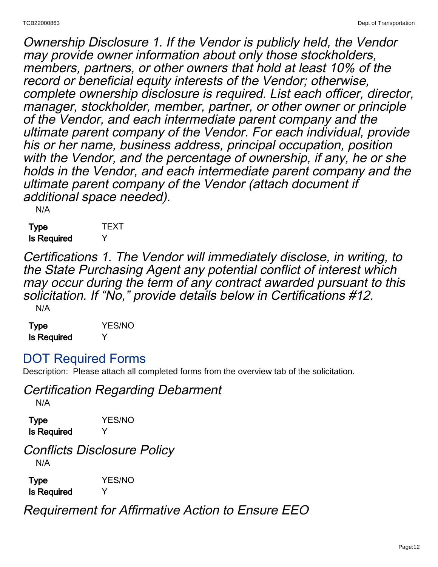Ownership Disclosure 1. If the Vendor is publicly held, the Vendor may provide owner information about only those stockholders, members, partners, or other owners that hold at least 10% of the record or beneficial equity interests of the Vendor; otherwise, complete ownership disclosure is required. List each officer, director, manager, stockholder, member, partner, or other owner or principle of the Vendor, and each intermediate parent company and the ultimate parent company of the Vendor. For each individual, provide his or her name, business address, principal occupation, position with the Vendor, and the percentage of ownership, if any, he or she holds in the Vendor, and each intermediate parent company and the ultimate parent company of the Vendor (attach document if additional space needed).

N/A

Type **TEXT** Is Required Y

Certifications 1. The Vendor will immediately disclose, in writing, to the State Purchasing Agent any potential conflict of interest which may occur during the term of any contract awarded pursuant to this solicitation. If "No," provide details below in Certifications #12. N/A

| <b>Type</b>        | <b>YES/NO</b> |
|--------------------|---------------|
| <b>Is Required</b> | Υ             |

## DOT Required Forms

Description: Please attach all completed forms from the overview tab of the solicitation.

Certification Regarding Debarment

N/A

Type YES/NO Is Required Y

Conflicts Disclosure Policy N/A

Type **YES/NO** Is Required Y

Requirement for Affirmative Action to Ensure EEO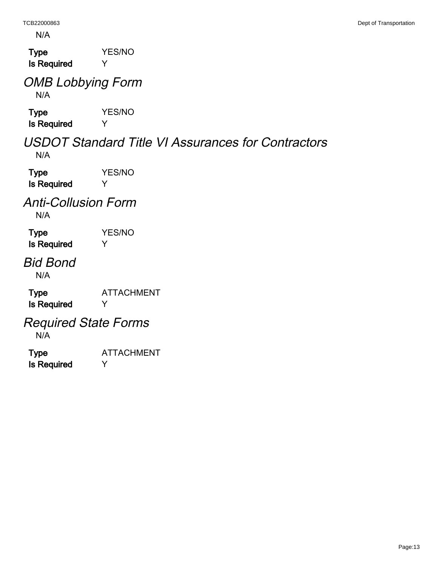N/A

Type **YES/NO** Is Required Y

### OMB Lobbying Form N/A

Type **YES/NO** Is Required Y

### USDOT Standard Title VI Assurances for Contractors N/A

Type **YES/NO** Is Required Y

### Anti-Collusion Form N/A

Type **YES/NO** Is Required Y

# Bid Bond

N/A

Type ATTACHMENT Is Required Y

# Required State Forms

N/A

Type ATTACHMENT Is Required Y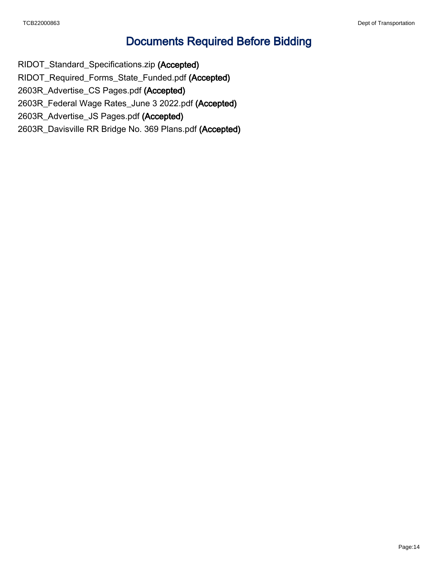## Documents Required Before Bidding

RIDOT\_Standard\_Specifications.zip (Accepted) RIDOT\_Required\_Forms\_State\_Funded.pdf (Accepted) 2603R\_Advertise\_CS Pages.pdf (Accepted) 2603R\_Federal Wage Rates\_June 3 2022.pdf (Accepted) 2603R\_Advertise\_JS Pages.pdf (Accepted) 2603R\_Davisville RR Bridge No. 369 Plans.pdf (Accepted)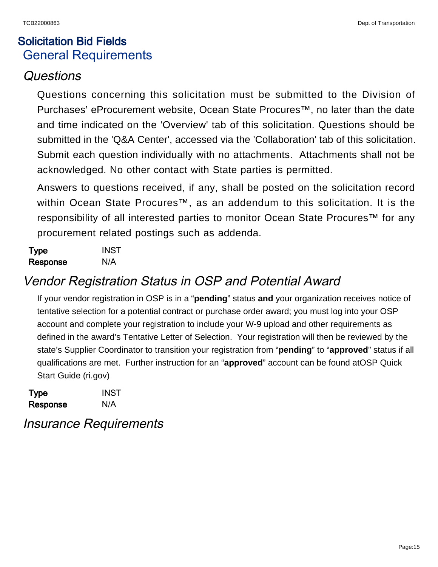# Solicitation Bid Fields General Requirements

## Questions

Questions concerning this solicitation must be submitted to the Division of Purchases' eProcurement website, Ocean State Procures™, no later than the date and time indicated on the 'Overview' tab of this solicitation. Questions should be submitted in the 'Q&A Center', accessed via the 'Collaboration' tab of this solicitation. Submit each question individually with no attachments. Attachments shall not be acknowledged. No other contact with State parties is permitted.

Answers to questions received, if any, shall be posted on the solicitation record within Ocean State Procures™, as an addendum to this solicitation. It is the responsibility of all interested parties to monitor Ocean State Procures™ for any procurement related postings such as addenda.

| Type     | <b>INST</b> |
|----------|-------------|
| Response | N/A         |

# Vendor Registration Status in OSP and Potential Award

If your vendor registration in OSP is in a "**pending**" status **and** your organization receives notice of tentative selection for a potential contract or purchase order award; you must log into your OSP account and complete your registration to include your W-9 upload and other requirements as defined in the award's Tentative Letter of Selection. Your registration will then be reviewed by the state's Supplier Coordinator to transition your registration from "**pending**" to "**approved**" status if all qualifications are met. Further instruction for an "**approved**" account can be found at[OSP Quick](https://ridop.ri.gov/sites/g/files/xkgbur616/files/documents/vendor-self-registration-quick-start-guide.pdf) [Start Guide \(ri.gov\)](https://ridop.ri.gov/sites/g/files/xkgbur616/files/documents/vendor-self-registration-quick-start-guide.pdf)

| <b>Type</b> | <b>INST</b> |
|-------------|-------------|
| Response    | N/A         |

# Insurance Requirements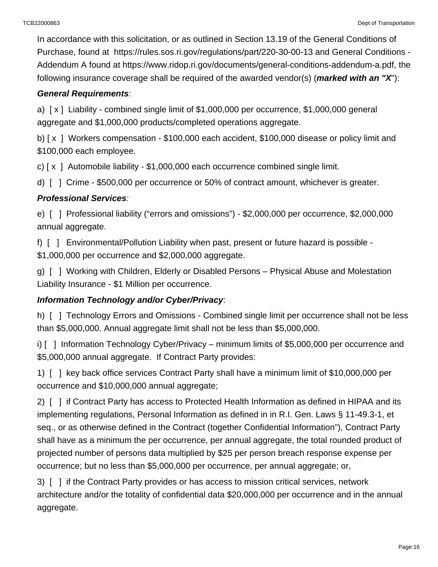In accordance with this solicitation, or as outlined in Section 13.19 of the General Conditions of Purchase, found at <https://rules.sos.ri.gov/regulations/part/220-30-00-13> and General Conditions - Addendum A found at [https://www.ridop.ri.gov/documents/general-conditions-addendum-a.pdf,](https://www.ridop.ri.gov/documents/general-conditions-addendum-a.pdf) the following insurance coverage shall be required of the awarded vendor(s) (**marked with an "X**"):

### **General Requirements**:

a) [ x ] Liability - combined single limit of \$1,000,000 per occurrence, \$1,000,000 general aggregate and \$1,000,000 products/completed operations aggregate.

b) [x] Workers compensation - \$100,000 each accident, \$100,000 disease or policy limit and \$100,000 each employee.

c) [ x ] Automobile liability - \$1,000,000 each occurrence combined single limit.

d) [ ] Crime - \$500,000 per occurrence or 50% of contract amount, whichever is greater.

### **Professional Services**:

e) [ ] Professional liability ("errors and omissions") - \$2,000,000 per occurrence, \$2,000,000 annual aggregate.

f) [ ] Environmental/Pollution Liability when past, present or future hazard is possible - \$1,000,000 per occurrence and \$2,000,000 aggregate.

g) [ ] Working with Children, Elderly or Disabled Persons – Physical Abuse and Molestation Liability Insurance - \$1 Million per occurrence.

### **Information Technology and/or Cyber/Privacy**:

h) [ ] Technology Errors and Omissions - Combined single limit per occurrence shall not be less than \$5,000,000. Annual aggregate limit shall not be less than \$5,000,000.

i) [ ] Information Technology Cyber/Privacy – minimum limits of \$5,000,000 per occurrence and \$5,000,000 annual aggregate. If Contract Party provides:

1) [ ] key back office services Contract Party shall have a minimum limit of \$10,000,000 per occurrence and \$10,000,000 annual aggregate;

2) [ ] if Contract Party has access to Protected Health Information as defined in HIPAA and its implementing regulations, Personal Information as defined in in R.I. Gen. Laws § 11-49.3-1, et seq., or as otherwise defined in the Contract (together Confidential Information"), Contract Party shall have as a minimum the per occurrence, per annual aggregate, the total rounded product of projected number of persons data multiplied by \$25 per person breach response expense per occurrence; but no less than \$5,000,000 per occurrence, per annual aggregate; or,

3) [ ] if the Contract Party provides or has access to mission critical services, network architecture and/or the totality of confidential data \$20,000,000 per occurrence and in the annual aggregate.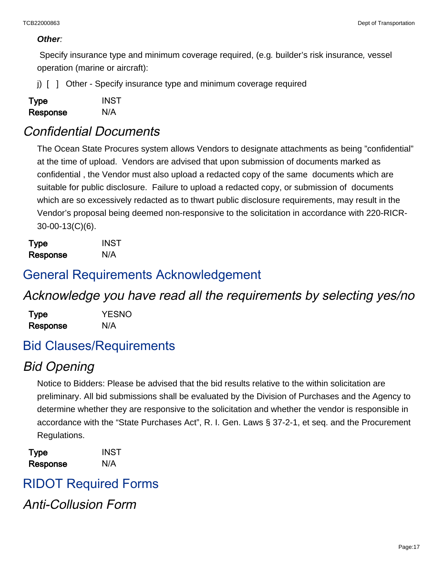#### **Other**:

 Specify insurance type and minimum coverage required, (e.g. builder's risk insurance, vessel operation (marine or aircraft):

i) [  $\mid$  0ther - Specify insurance type and minimum coverage required

| Type     | <b>INST</b> |
|----------|-------------|
| Response | N/A         |

### Confidential Documents

The Ocean State Procures system allows Vendors to designate attachments as being "confidential" at the time of upload. Vendors are advised that upon submission of documents marked as confidential , the Vendor must also upload a redacted copy of the same documents which are suitable for public disclosure. Failure to upload a redacted copy, or submission of documents which are so excessively redacted as to thwart public disclosure requirements, may result in the Vendor's proposal being deemed non-responsive to the solicitation in accordance with 220-RICR-30-00-13(C)(6).

Type INST Response N/A

### General Requirements Acknowledgement

### Acknowledge you have read all the requirements by selecting yes/no

| Type     | <b>YESNO</b> |
|----------|--------------|
| Response | N/A          |

### Bid Clauses/Requirements

## Bid Opening

Notice to Bidders: Please be advised that the bid results relative to the within solicitation are preliminary. All bid submissions shall be evaluated by the Division of Purchases and the Agency to determine whether they are responsive to the solicitation and whether the vendor is responsible in accordance with the "State Purchases Act", R. I. Gen. Laws § 37-2-1, et seq. and the Procurement Regulations.

Type INST Response N/A

RIDOT Required Forms Anti-Collusion Form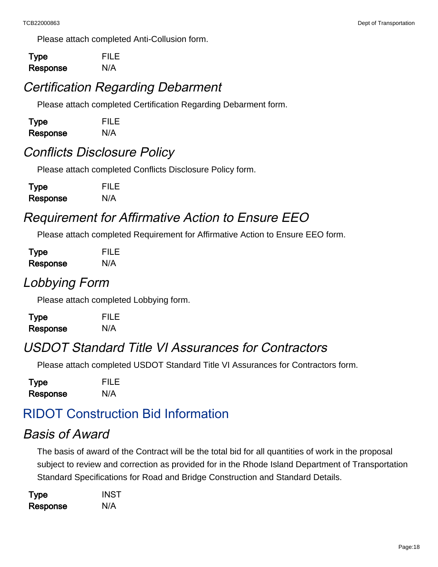Please attach completed Anti-Collusion form.

Type FILE Response N/A

# Certification Regarding Debarment

Please attach completed Certification Regarding Debarment form.

| Type     | <b>FILE</b> |
|----------|-------------|
| Response | N/A         |

# Conflicts Disclosure Policy

Please attach completed Conflicts Disclosure Policy form.

| <b>Type</b> | <b>FILE</b> |
|-------------|-------------|
| Response    | N/A         |

# Requirement for Affirmative Action to Ensure EEO

Please attach completed Requirement for Affirmative Action to Ensure EEO form.

| Type     | <b>FILE</b> |
|----------|-------------|
| Response | N/A         |

# Lobbying Form

Please attach completed Lobbying form.

| Type     | <b>FILE</b> |
|----------|-------------|
| Response | N/A         |

# USDOT Standard Title VI Assurances for Contractors

Please attach completed USDOT Standard Title VI Assurances for Contractors form.

Type FILE Response N/A

# RIDOT Construction Bid Information

## Basis of Award

The basis of award of the Contract will be the total bid for all quantities of work in the proposal subject to review and correction as provided for in the Rhode Island Department of Transportation Standard Specifications for Road and Bridge Construction and Standard Details.

| <b>Type</b> | <b>INST</b> |
|-------------|-------------|
| Response    | N/A         |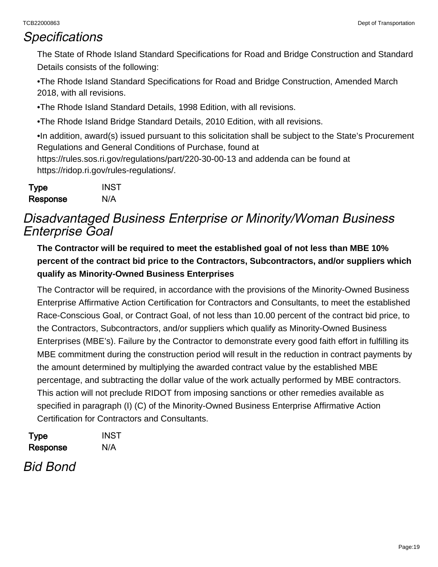### **Specifications**

The State of Rhode Island Standard Specifications for Road and Bridge Construction and Standard Details consists of the following:

•The Rhode Island Standard Specifications for Road and Bridge Construction, Amended March 2018, with all revisions.

•The Rhode Island Standard Details, 1998 Edition, with all revisions.

•The Rhode Island Bridge Standard Details, 2010 Edition, with all revisions.

•In addition, award(s) issued pursuant to this solicitation shall be subject to the State's Procurement Regulations and General Conditions of Purchase, found at <https://rules.sos.ri.gov/regulations/part/220-30-00-13> and addenda can be found at [https://ridop.ri.gov/rules-regulations/.](https://ridop.ri.gov/rules-regulations/)

| <b>Type</b> | <b>INST</b> |
|-------------|-------------|
| Response    | N/A         |

# Disadvantaged Business Enterprise or Minority/Woman Business Enterprise Goal

**The Contractor will be required to meet the established goal of not less than MBE 10% percent of the contract bid price to the Contractors, Subcontractors, and/or suppliers which qualify as Minority-Owned Business Enterprises**

The Contractor will be required, in accordance with the provisions of the Minority-Owned Business Enterprise Affirmative Action Certification for Contractors and Consultants, to meet the established Race-Conscious Goal, or Contract Goal, of not less than 10.00 percent of the contract bid price, to the Contractors, Subcontractors, and/or suppliers which qualify as Minority-Owned Business Enterprises (MBE's). Failure by the Contractor to demonstrate every good faith effort in fulfilling its MBE commitment during the construction period will result in the reduction in contract payments by the amount determined by multiplying the awarded contract value by the established MBE percentage, and subtracting the dollar value of the work actually performed by MBE contractors. This action will not preclude RIDOT from imposing sanctions or other remedies available as specified in paragraph (I) (C) of the Minority-Owned Business Enterprise Affirmative Action Certification for Contractors and Consultants.

| Type     | <b>INST</b> |
|----------|-------------|
| Response | N/A         |

Bid Bond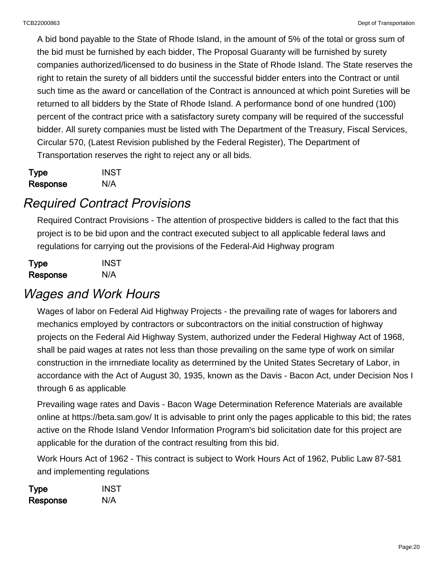A bid bond payable to the State of Rhode Island, in the amount of 5% of the total or gross sum of the bid must be furnished by each bidder, The Proposal Guaranty will be furnished by surety companies authorized/licensed to do business in the State of Rhode Island. The State reserves the right to retain the surety of all bidders until the successful bidder enters into the Contract or until such time as the award or cancellation of the Contract is announced at which point Sureties will be returned to all bidders by the State of Rhode Island. A performance bond of one hundred (100) percent of the contract price with a satisfactory surety company will be required of the successful bidder. All surety companies must be listed with The Department of the Treasury, Fiscal Services, Circular 570, (Latest Revision published by the Federal Register), The Department of Transportation reserves the right to reject any or all bids.

| Type     | <b>INST</b> |
|----------|-------------|
| Response | N/A         |

# Required Contract Provisions

Required Contract Provisions - The attention of prospective bidders is called to the fact that this project is to be bid upon and the contract executed subject to all applicable federal laws and regulations for carrying out the provisions of the Federal-Aid Highway program

| Type     | <b>INST</b> |
|----------|-------------|
| Response | N/A         |

# Wages and Work Hours

Wages of labor on Federal Aid Highway Projects - the prevailing rate of wages for laborers and mechanics employed by contractors or subcontractors on the initial construction of highway projects on the Federal Aid Highway System, authorized under the Federal Highway Act of 1968, shall be paid wages at rates not less than those prevailing on the same type of work on similar construction in the irnrnediate locality as deterrnined by the United States Secretary of Labor, in accordance with the Act of August 30, 1935, known as the Davis - Bacon Act, under Decision Nos I through 6 as applicable

Prevailing wage rates and Davis - Bacon Wage Determination Reference Materials are available online at <https://beta.sam.gov/> It is advisable to print only the pages applicable to this bid; the rates active on the Rhode Island Vendor Information Program's bid solicitation date for this project are applicable for the duration of the contract resulting from this bid.

Work Hours Act of 1962 - This contract is subject to Work Hours Act of 1962, Public Law 87-581 and implementing regulations

| <b>Type</b> | <b>INST</b> |
|-------------|-------------|
| Response    | N/A         |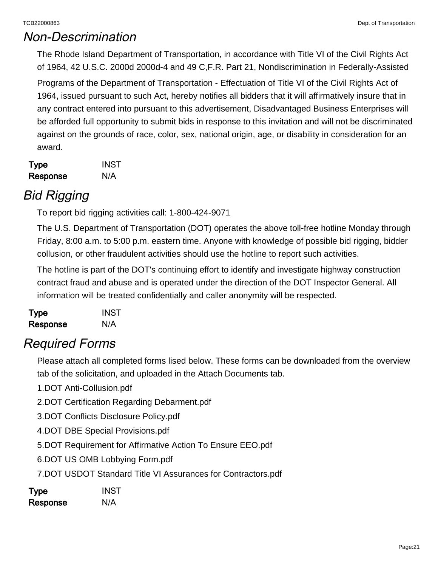## Non-Descrimination

The Rhode Island Department of Transportation, in accordance with Title VI of the Civil Rights Act of 1964, 42 U.S.C. 2000d 2000d-4 and 49 C,F.R. Part 21, Nondiscrimination in Federally-Assisted

Programs of the Department of Transportation - Effectuation of Title VI of the Civil Rights Act of 1964, issued pursuant to such Act, hereby notifies all bidders that it will affirmatively insure that in any contract entered into pursuant to this advertisement, Disadvantaged Business Enterprises will be afforded full opportunity to submit bids in response to this invitation and will not be discriminated against on the grounds of race, color, sex, national origin, age, or disability in consideration for an award.

| <b>Type</b> | <b>INST</b> |
|-------------|-------------|
| Response    | N/A         |

# Bid Rigging

To report bid rigging activities call: 1-800-424-9071

The U.S. Department of Transportation (DOT) operates the above toll-free hotline Monday through Friday, 8:00 a.m. to 5:00 p.m. eastern time. Anyone with knowledge of possible bid rigging, bidder collusion, or other fraudulent activities should use the hotline to report such activities.

The hotline is part of the DOT's continuing effort to identify and investigate highway construction contract fraud and abuse and is operated under the direction of the DOT Inspector General. All information will be treated confidentially and caller anonymity will be respected.

| <b>Type</b> | <b>INST</b> |
|-------------|-------------|
| Response    | N/A         |

## Required Forms

Please attach all completed forms lised below. These forms can be downloaded from the overview tab of the solicitation, and uploaded in the Attach Documents tab.

1.DOT Anti-Collusion.pdf

2.DOT Certification Regarding Debarment.pdf

3.DOT Conflicts Disclosure Policy.pdf

4.DOT DBE Special Provisions.pdf

5.DOT Requirement for Affirmative Action To Ensure EEO.pdf

6.DOT US OMB Lobbying Form.pdf

7.DOT USDOT Standard Title VI Assurances for Contractors.pdf

| Type     | <b>INST</b> |
|----------|-------------|
| Response | N/A         |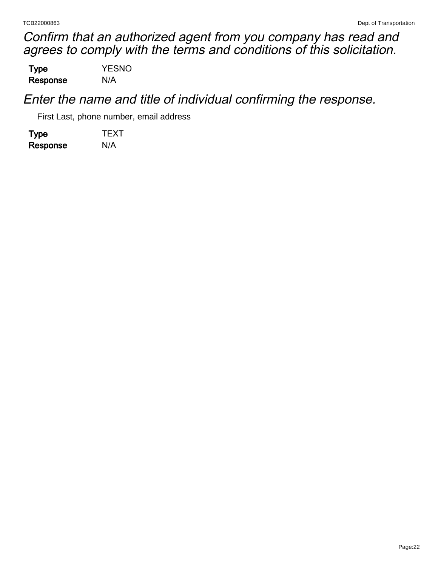Confirm that an authorized agent from you company has read and agrees to comply with the terms and conditions of this solicitation.

Type YESNO Response N/A

Enter the name and title of individual confirming the response.

First Last, phone number, email address

Type **TEXT** Response N/A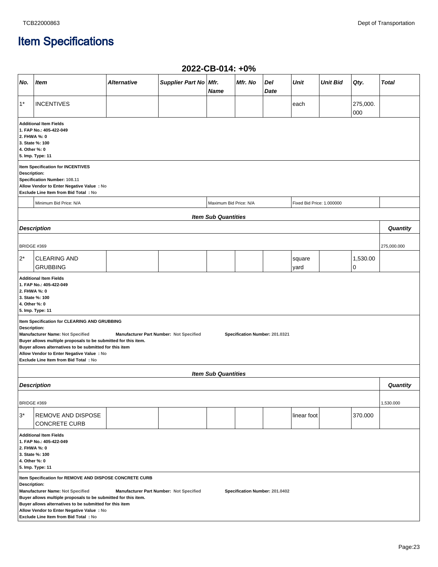# Item Specifications

|                                                                                                                                                                                                                                                                                                                                                                                                                                                                                                                                     |                                                                                                                                              |                    |                         | ZUZZ-VD-VIT. TV /0         |         |             |                           |                 |                 |              |
|-------------------------------------------------------------------------------------------------------------------------------------------------------------------------------------------------------------------------------------------------------------------------------------------------------------------------------------------------------------------------------------------------------------------------------------------------------------------------------------------------------------------------------------|----------------------------------------------------------------------------------------------------------------------------------------------|--------------------|-------------------------|----------------------------|---------|-------------|---------------------------|-----------------|-----------------|--------------|
| No.                                                                                                                                                                                                                                                                                                                                                                                                                                                                                                                                 | Item                                                                                                                                         | <b>Alternative</b> | Supplier Part No   Mfr. | <b>Name</b>                | Mfr. No | Del<br>Date | Unit                      | <b>Unit Bid</b> | Qty.            | <b>Total</b> |
| $1^*$                                                                                                                                                                                                                                                                                                                                                                                                                                                                                                                               | <b>INCENTIVES</b>                                                                                                                            |                    |                         |                            |         |             | each                      |                 | 275,000.<br>000 |              |
|                                                                                                                                                                                                                                                                                                                                                                                                                                                                                                                                     | <b>Additional Item Fields</b><br>1. FAP No.: 405-422-049<br>2. FHWA %: 0<br>3. State %: 100<br>4. Other %: 0<br>5. Imp. Type: 11             |                    |                         |                            |         |             |                           |                 |                 |              |
| Item Specification for INCENTIVES<br>Description:<br>Specification Number: 108.11<br>Allow Vendor to Enter Negative Value : No<br>Exclude Line Item from Bid Total : No                                                                                                                                                                                                                                                                                                                                                             |                                                                                                                                              |                    |                         |                            |         |             |                           |                 |                 |              |
|                                                                                                                                                                                                                                                                                                                                                                                                                                                                                                                                     | Minimum Bid Price: N/A                                                                                                                       |                    |                         | Maximum Bid Price: N/A     |         |             | Fixed Bid Price: 1.000000 |                 |                 |              |
|                                                                                                                                                                                                                                                                                                                                                                                                                                                                                                                                     |                                                                                                                                              |                    |                         | <b>Item Sub Quantities</b> |         |             |                           |                 |                 |              |
|                                                                                                                                                                                                                                                                                                                                                                                                                                                                                                                                     | <b>Description</b>                                                                                                                           |                    |                         |                            |         |             |                           |                 |                 | Quantity     |
| BRIDGE #369                                                                                                                                                                                                                                                                                                                                                                                                                                                                                                                         |                                                                                                                                              |                    |                         |                            |         |             |                           |                 |                 | 275,000.000  |
| $2^*$                                                                                                                                                                                                                                                                                                                                                                                                                                                                                                                               | <b>CLEARING AND</b><br><b>GRUBBING</b>                                                                                                       |                    |                         |                            |         |             | square<br>yard            |                 | 1,530.00<br>0   |              |
| <b>Additional Item Fields</b><br>1. FAP No.: 405-422-049<br>2. FHWA %: 0<br>3. State %: 100<br>4. Other %: 0<br>5. Imp. Type: 11<br>Item Specification for CLEARING AND GRUBBING<br>Description:<br>Manufacturer Name: Not Specified<br>Manufacturer Part Number: Not Specified<br>Specification Number: 201.0321<br>Buyer allows multiple proposals to be submitted for this item.<br>Buyer allows alternatives to be submitted for this item<br>Allow Vendor to Enter Negative Value : No<br>Exclude Line Item from Bid Total: No |                                                                                                                                              |                    |                         |                            |         |             |                           |                 |                 |              |
|                                                                                                                                                                                                                                                                                                                                                                                                                                                                                                                                     |                                                                                                                                              |                    |                         | <b>Item Sub Quantities</b> |         |             |                           |                 |                 |              |
|                                                                                                                                                                                                                                                                                                                                                                                                                                                                                                                                     | <b>Description</b>                                                                                                                           |                    |                         |                            |         |             |                           |                 |                 | Quantity     |
| BRIDGE #369                                                                                                                                                                                                                                                                                                                                                                                                                                                                                                                         |                                                                                                                                              |                    |                         |                            |         |             |                           |                 |                 | 1,530.000    |
| $3^*$                                                                                                                                                                                                                                                                                                                                                                                                                                                                                                                               | REMOVE AND DISPOSE<br><b>CONCRETE CURB</b>                                                                                                   |                    |                         |                            |         |             | linear foot               |                 | 370.000         |              |
| <b>Additional Item Fields</b><br>1. FAP No.: 405-422-049<br>2. FHWA %: 0<br>3. State %: 100<br>4. Other %: 0<br>5. Imp. Type: 11<br>Item Specification for REMOVE AND DISPOSE CONCRETE CURB<br>Description:<br>Manufacturer Name: Not Specified<br>Manufacturer Part Number: Not Specified<br>Specification Number: 201.0402<br>Buyer allows multiple proposals to be submitted for this item.                                                                                                                                      |                                                                                                                                              |                    |                         |                            |         |             |                           |                 |                 |              |
|                                                                                                                                                                                                                                                                                                                                                                                                                                                                                                                                     | Buyer allows alternatives to be submitted for this item<br>Allow Vendor to Enter Negative Value : No<br>Exclude Line Item from Bid Total: No |                    |                         |                            |         |             |                           |                 |                 |              |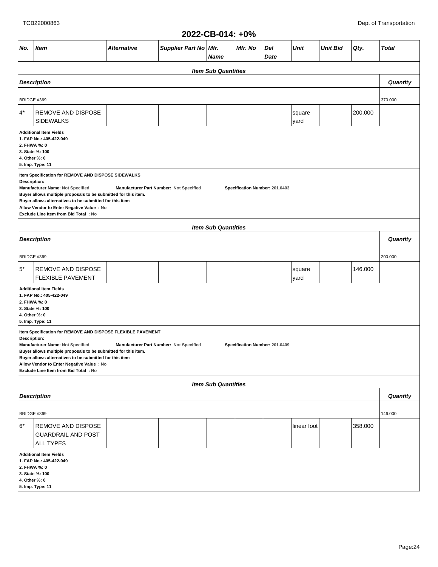|                                                                                                                                                                                                                                                                                                                                                                                                                                                       | 2022-CB-014: +0%                                                                                                                 |             |                         |                            |         |             |                |                 |         |              |
|-------------------------------------------------------------------------------------------------------------------------------------------------------------------------------------------------------------------------------------------------------------------------------------------------------------------------------------------------------------------------------------------------------------------------------------------------------|----------------------------------------------------------------------------------------------------------------------------------|-------------|-------------------------|----------------------------|---------|-------------|----------------|-----------------|---------|--------------|
| No.                                                                                                                                                                                                                                                                                                                                                                                                                                                   | Item                                                                                                                             | Alternative | Supplier Part No   Mfr. | Name                       | Mfr. No | Del<br>Date | Unit           | <b>Unit Bid</b> | Qty.    | <b>Total</b> |
|                                                                                                                                                                                                                                                                                                                                                                                                                                                       |                                                                                                                                  |             |                         | <b>Item Sub Quantities</b> |         |             |                |                 |         |              |
|                                                                                                                                                                                                                                                                                                                                                                                                                                                       | <b>Description</b>                                                                                                               |             |                         |                            |         |             |                |                 |         | Quantity     |
|                                                                                                                                                                                                                                                                                                                                                                                                                                                       |                                                                                                                                  |             |                         |                            |         |             |                |                 |         |              |
| <b>BRIDGE #369</b>                                                                                                                                                                                                                                                                                                                                                                                                                                    |                                                                                                                                  |             |                         |                            |         |             |                |                 |         | 370.000      |
| $4^*$                                                                                                                                                                                                                                                                                                                                                                                                                                                 | REMOVE AND DISPOSE<br><b>SIDEWALKS</b>                                                                                           |             |                         |                            |         |             | square<br>yard |                 | 200.000 |              |
| <b>Additional Item Fields</b><br>1. FAP No.: 405-422-049<br>2. FHWA %: 0<br>3. State %: 100<br>4. Other %: 0<br>5. Imp. Type: 11<br>Item Specification for REMOVE AND DISPOSE SIDEWALKS<br>Description:<br>Manufacturer Name: Not Specified<br>Manufacturer Part Number: Not Specified<br>Specification Number: 201.0403<br>Buyer allows multiple proposals to be submitted for this item.<br>Buyer allows alternatives to be submitted for this item |                                                                                                                                  |             |                         |                            |         |             |                |                 |         |              |
|                                                                                                                                                                                                                                                                                                                                                                                                                                                       | Allow Vendor to Enter Negative Value : No                                                                                        |             |                         |                            |         |             |                |                 |         |              |
| Exclude Line Item from Bid Total : No                                                                                                                                                                                                                                                                                                                                                                                                                 |                                                                                                                                  |             |                         |                            |         |             |                |                 |         |              |
| <b>Item Sub Quantities</b><br><b>Description</b>                                                                                                                                                                                                                                                                                                                                                                                                      |                                                                                                                                  |             |                         |                            |         |             | Quantity       |                 |         |              |
|                                                                                                                                                                                                                                                                                                                                                                                                                                                       |                                                                                                                                  |             |                         |                            |         |             |                |                 |         |              |
| <b>BRIDGE #369</b><br>$5^*$                                                                                                                                                                                                                                                                                                                                                                                                                           | REMOVE AND DISPOSE<br><b>FLEXIBLE PAVEMENT</b>                                                                                   |             |                         |                            |         |             | square<br>yard |                 | 146.000 | 200.000      |
| <b>Additional Item Fields</b><br>1. FAP No.: 405-422-049<br>2. FHWA %: 0<br>3. State %: 100<br>4. Other %: 0<br>5. Imp. Type: 11                                                                                                                                                                                                                                                                                                                      |                                                                                                                                  |             |                         |                            |         |             |                |                 |         |              |
| Item Specification for REMOVE AND DISPOSE FLEXIBLE PAVEMENT<br>Description:<br>Manufacturer Name: Not Specified<br>Manufacturer Part Number: Not Specified<br>Specification Number: 201.0409<br>Buyer allows multiple proposals to be submitted for this item.<br>Buyer allows alternatives to be submitted for this item<br>Allow Vendor to Enter Negative Value : No<br>Exclude Line Item from Bid Total: No                                        |                                                                                                                                  |             |                         |                            |         |             |                |                 |         |              |
|                                                                                                                                                                                                                                                                                                                                                                                                                                                       |                                                                                                                                  |             |                         | <b>Item Sub Quantities</b> |         |             |                |                 |         |              |
|                                                                                                                                                                                                                                                                                                                                                                                                                                                       | <b>Description</b>                                                                                                               |             |                         |                            |         |             |                |                 |         | Quantity     |
| BRIDGE #369                                                                                                                                                                                                                                                                                                                                                                                                                                           |                                                                                                                                  |             |                         |                            |         |             |                |                 |         | 146.000      |
| 6*                                                                                                                                                                                                                                                                                                                                                                                                                                                    | REMOVE AND DISPOSE<br><b>GUARDRAIL AND POST</b><br><b>ALL TYPES</b>                                                              |             |                         |                            |         |             | linear foot    |                 | 358.000 |              |
|                                                                                                                                                                                                                                                                                                                                                                                                                                                       | <b>Additional Item Fields</b><br>1. FAP No.: 405-422-049<br>2. FHWA %: 0<br>3. State %: 100<br>4. Other %: 0<br>5. Imp. Type: 11 |             |                         |                            |         |             |                |                 |         |              |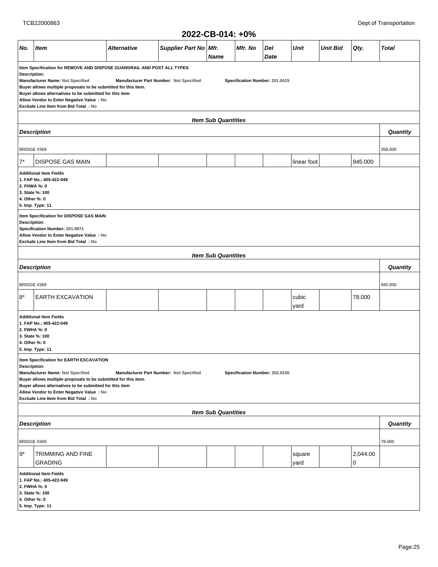|  | 2022-CB-014: +0% |
|--|------------------|
|--|------------------|

|                                                                                                                                                                                                                                                                                                                                                                                            |                                                                                                                                                                                                                                                                                                                                                                                                                           |                    |                       | ZUZZ-VD-VIT. TV /0         |         |             |                |                 |               |              |
|--------------------------------------------------------------------------------------------------------------------------------------------------------------------------------------------------------------------------------------------------------------------------------------------------------------------------------------------------------------------------------------------|---------------------------------------------------------------------------------------------------------------------------------------------------------------------------------------------------------------------------------------------------------------------------------------------------------------------------------------------------------------------------------------------------------------------------|--------------------|-----------------------|----------------------------|---------|-------------|----------------|-----------------|---------------|--------------|
| No.                                                                                                                                                                                                                                                                                                                                                                                        | <b>Item</b>                                                                                                                                                                                                                                                                                                                                                                                                               | <b>Alternative</b> | Supplier Part No Mfr. | <b>Name</b>                | Mfr. No | Del<br>Date | Unit           | <b>Unit Bid</b> | Qty.          | <b>Total</b> |
|                                                                                                                                                                                                                                                                                                                                                                                            | Item Specification for REMOVE AND DISPOSE GUARDRAIL AND POST ALL TYPES<br>Description:<br>Manufacturer Name: Not Specified<br>Specification Number: 201.0415<br>Manufacturer Part Number: Not Specified<br>Buyer allows multiple proposals to be submitted for this item.<br>Buyer allows alternatives to be submitted for this item<br>Allow Vendor to Enter Negative Value : No<br>Exclude Line Item from Bid Total: No |                    |                       |                            |         |             |                |                 |               |              |
|                                                                                                                                                                                                                                                                                                                                                                                            |                                                                                                                                                                                                                                                                                                                                                                                                                           |                    |                       | <b>Item Sub Quantities</b> |         |             |                |                 |               |              |
|                                                                                                                                                                                                                                                                                                                                                                                            | <b>Description</b>                                                                                                                                                                                                                                                                                                                                                                                                        |                    |                       |                            |         |             |                |                 |               | Quantity     |
| <b>BRIDGE #369</b>                                                                                                                                                                                                                                                                                                                                                                         |                                                                                                                                                                                                                                                                                                                                                                                                                           |                    |                       |                            |         |             |                |                 |               | 358.000      |
| $7^*$                                                                                                                                                                                                                                                                                                                                                                                      | <b>DISPOSE GAS MAIN</b>                                                                                                                                                                                                                                                                                                                                                                                                   |                    |                       |                            |         |             | linear foot    |                 | 945.000       |              |
| <b>Additional Item Fields</b><br>1. FAP No.: 405-422-049<br>2. FHWA %: 0<br>3. State %: 100<br>4. Other %: 0<br>5. Imp. Type: 11                                                                                                                                                                                                                                                           |                                                                                                                                                                                                                                                                                                                                                                                                                           |                    |                       |                            |         |             |                |                 |               |              |
| Item Specification for DISPOSE GAS MAIN<br>Description:<br>Specification Number: 201.9971<br>Allow Vendor to Enter Negative Value : No<br>Exclude Line Item from Bid Total: No                                                                                                                                                                                                             |                                                                                                                                                                                                                                                                                                                                                                                                                           |                    |                       |                            |         |             |                |                 |               |              |
| <b>Item Sub Quantities</b>                                                                                                                                                                                                                                                                                                                                                                 |                                                                                                                                                                                                                                                                                                                                                                                                                           |                    |                       |                            |         |             |                |                 |               |              |
|                                                                                                                                                                                                                                                                                                                                                                                            | <b>Description</b>                                                                                                                                                                                                                                                                                                                                                                                                        |                    |                       |                            |         |             |                |                 |               | Quantity     |
| BRIDGE #369                                                                                                                                                                                                                                                                                                                                                                                |                                                                                                                                                                                                                                                                                                                                                                                                                           |                    |                       |                            |         |             |                |                 |               | 945.000      |
| 8*                                                                                                                                                                                                                                                                                                                                                                                         | <b>EARTH EXCAVATION</b>                                                                                                                                                                                                                                                                                                                                                                                                   |                    |                       |                            |         |             | cubic<br>yard  |                 | 78.000        |              |
| <b>Additional Item Fields</b><br>1. FAP No.: 405-422-049<br>2. FWHA %: 0<br>3. State %: 100<br>4. Other %: 0<br>5. Imp. Type: 11                                                                                                                                                                                                                                                           |                                                                                                                                                                                                                                                                                                                                                                                                                           |                    |                       |                            |         |             |                |                 |               |              |
| Item Specification for EARTH EXCAVATION<br>Description:<br>Manufacturer Name: Not Specified<br>Manufacturer Part Number: Not Specified<br>Specification Number: 202.0100<br>Buyer allows multiple proposals to be submitted for this item.<br>Buyer allows alternatives to be submitted for this item<br>Allow Vendor to Enter Negative Value : No<br>Exclude Line Item from Bid Total: No |                                                                                                                                                                                                                                                                                                                                                                                                                           |                    |                       |                            |         |             |                |                 |               |              |
|                                                                                                                                                                                                                                                                                                                                                                                            |                                                                                                                                                                                                                                                                                                                                                                                                                           |                    |                       | <b>Item Sub Quantities</b> |         |             |                |                 |               |              |
|                                                                                                                                                                                                                                                                                                                                                                                            | <b>Description</b>                                                                                                                                                                                                                                                                                                                                                                                                        |                    |                       |                            |         |             |                |                 |               | Quantity     |
| BRIDGE #369                                                                                                                                                                                                                                                                                                                                                                                |                                                                                                                                                                                                                                                                                                                                                                                                                           |                    |                       |                            |         |             |                |                 |               | 78.000       |
| l 9*                                                                                                                                                                                                                                                                                                                                                                                       | TRIMMING AND FINE<br><b>GRADING</b>                                                                                                                                                                                                                                                                                                                                                                                       |                    |                       |                            |         |             | square<br>yard |                 | 2,044.00<br>0 |              |
| 2. FWHA %: 0<br>4. Other %: 0                                                                                                                                                                                                                                                                                                                                                              | <b>Additional Item Fields</b><br>1. FAP No.: 405-422-049<br>3. State %: 100<br>5. Imp. Type: 11                                                                                                                                                                                                                                                                                                                           |                    |                       |                            |         |             |                |                 |               |              |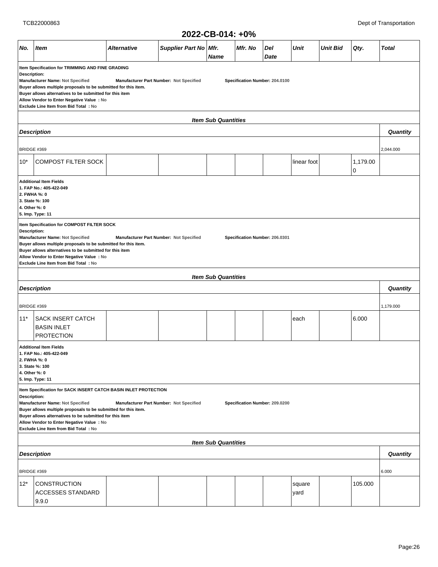|                                                                                                                                                                                                                                                                                                                                                                                                                    |                                                                                                                                                                                                                                                                                                                                                                                                            |                    |                       | ZUZZ-VU-VIT. TV/0          |         |             |                 |                 |               |              |
|--------------------------------------------------------------------------------------------------------------------------------------------------------------------------------------------------------------------------------------------------------------------------------------------------------------------------------------------------------------------------------------------------------------------|------------------------------------------------------------------------------------------------------------------------------------------------------------------------------------------------------------------------------------------------------------------------------------------------------------------------------------------------------------------------------------------------------------|--------------------|-----------------------|----------------------------|---------|-------------|-----------------|-----------------|---------------|--------------|
| No.                                                                                                                                                                                                                                                                                                                                                                                                                | <b>Item</b>                                                                                                                                                                                                                                                                                                                                                                                                | <b>Alternative</b> | Supplier Part No Mfr. | <b>Name</b>                | Mfr. No | Del<br>Date | <b>Unit</b>     | <b>Unit Bid</b> | Qty.          | <b>Total</b> |
|                                                                                                                                                                                                                                                                                                                                                                                                                    | Item Specification for TRIMMING AND FINE GRADING<br><b>Description:</b><br>Manufacturer Name: Not Specified<br>Specification Number: 204.0100<br>Manufacturer Part Number: Not Specified<br>Buyer allows multiple proposals to be submitted for this item.<br>Buyer allows alternatives to be submitted for this item<br>Allow Vendor to Enter Negative Value : No<br>Exclude Line Item from Bid Total: No |                    |                       |                            |         |             |                 |                 |               |              |
|                                                                                                                                                                                                                                                                                                                                                                                                                    | <b>Item Sub Quantities</b>                                                                                                                                                                                                                                                                                                                                                                                 |                    |                       |                            |         |             |                 |                 |               |              |
| <b>Description</b>                                                                                                                                                                                                                                                                                                                                                                                                 |                                                                                                                                                                                                                                                                                                                                                                                                            |                    |                       |                            |         |             |                 |                 | Quantity      |              |
| BRIDGE #369                                                                                                                                                                                                                                                                                                                                                                                                        |                                                                                                                                                                                                                                                                                                                                                                                                            |                    |                       |                            |         |             |                 |                 |               | 2,044.000    |
| $10*$                                                                                                                                                                                                                                                                                                                                                                                                              | <b>COMPOST FILTER SOCK</b>                                                                                                                                                                                                                                                                                                                                                                                 |                    |                       |                            |         |             | linear foot     |                 | 1,179.00<br>0 |              |
|                                                                                                                                                                                                                                                                                                                                                                                                                    | <b>Additional Item Fields</b><br>1. FAP No.: 405-422-049<br>2. FWHA %: 0<br>3. State %: 100<br>4. Other %: 0<br>5. Imp. Type: 11                                                                                                                                                                                                                                                                           |                    |                       |                            |         |             |                 |                 |               |              |
| Item Specification for COMPOST FILTER SOCK<br>Description:<br>Manufacturer Name: Not Specified<br>Manufacturer Part Number: Not Specified<br>Specification Number: 206.0301<br>Buyer allows multiple proposals to be submitted for this item.<br>Buyer allows alternatives to be submitted for this item<br>Allow Vendor to Enter Negative Value : No<br>Exclude Line Item from Bid Total: No                      |                                                                                                                                                                                                                                                                                                                                                                                                            |                    |                       |                            |         |             |                 |                 |               |              |
|                                                                                                                                                                                                                                                                                                                                                                                                                    |                                                                                                                                                                                                                                                                                                                                                                                                            |                    |                       | <b>Item Sub Quantities</b> |         |             |                 |                 |               |              |
|                                                                                                                                                                                                                                                                                                                                                                                                                    | <b>Description</b>                                                                                                                                                                                                                                                                                                                                                                                         |                    |                       |                            |         |             |                 |                 |               | Quantity     |
| BRIDGE #369                                                                                                                                                                                                                                                                                                                                                                                                        |                                                                                                                                                                                                                                                                                                                                                                                                            |                    |                       |                            |         |             |                 |                 |               | 1,179.000    |
| $11*$                                                                                                                                                                                                                                                                                                                                                                                                              | <b>SACK INSERT CATCH</b><br><b>BASIN INLET</b><br><b>PROTECTION</b>                                                                                                                                                                                                                                                                                                                                        |                    |                       |                            |         |             | each            |                 | 6.000         |              |
| <b>Additional Item Fields</b><br>1. FAP No.: 405-422-049<br>2. FWHA %: 0<br>3. State %: 100<br>4. Other %: 0<br>5. Imp. Type: 11                                                                                                                                                                                                                                                                                   |                                                                                                                                                                                                                                                                                                                                                                                                            |                    |                       |                            |         |             |                 |                 |               |              |
| Item Specification for SACK INSERT CATCH BASIN INLET PROTECTION<br>Description:<br>Manufacturer Name: Not Specified<br>Manufacturer Part Number: Not Specified<br>Specification Number: 209.0200<br>Buyer allows multiple proposals to be submitted for this item.<br>Buyer allows alternatives to be submitted for this item<br>Allow Vendor to Enter Negative Value : No<br>Exclude Line Item from Bid Total: No |                                                                                                                                                                                                                                                                                                                                                                                                            |                    |                       |                            |         |             |                 |                 |               |              |
|                                                                                                                                                                                                                                                                                                                                                                                                                    | <b>Item Sub Quantities</b>                                                                                                                                                                                                                                                                                                                                                                                 |                    |                       |                            |         |             |                 |                 |               |              |
| <b>Description</b>                                                                                                                                                                                                                                                                                                                                                                                                 |                                                                                                                                                                                                                                                                                                                                                                                                            |                    |                       |                            |         |             |                 |                 | Quantity      |              |
| BRIDGE #369                                                                                                                                                                                                                                                                                                                                                                                                        |                                                                                                                                                                                                                                                                                                                                                                                                            |                    |                       |                            |         |             |                 |                 |               | 6.000        |
| $12*$                                                                                                                                                                                                                                                                                                                                                                                                              | <b>CONSTRUCTION</b><br>ACCESSES STANDARD<br>9.9.0                                                                                                                                                                                                                                                                                                                                                          |                    |                       |                            |         |             | square<br> yard |                 | 105.000       |              |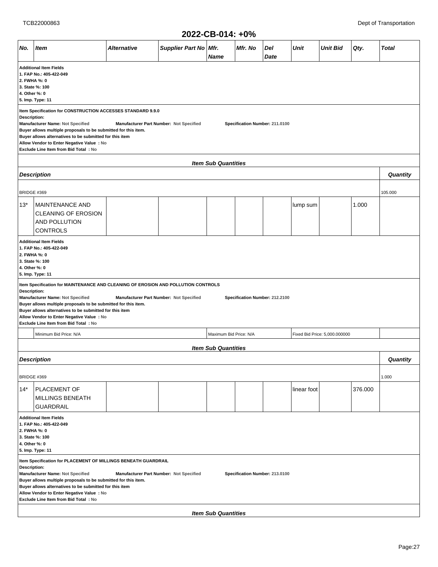|  | 2022-CB-014: +0% |
|--|------------------|
|--|------------------|

|                               | ZUZZ-UB-U14: +U%                                                                                                                                                                                                                                                                                                                                                                                                  |                    |                                         |                            |         |                                |             |                               |         |              |
|-------------------------------|-------------------------------------------------------------------------------------------------------------------------------------------------------------------------------------------------------------------------------------------------------------------------------------------------------------------------------------------------------------------------------------------------------------------|--------------------|-----------------------------------------|----------------------------|---------|--------------------------------|-------------|-------------------------------|---------|--------------|
| No.                           | <b>Item</b>                                                                                                                                                                                                                                                                                                                                                                                                       | <b>Alternative</b> | Supplier Part No   Mfr.                 | <b>Name</b>                | Mfr. No | Del<br>Date                    | Unit        | <b>Unit Bid</b>               | Qty.    | <b>Total</b> |
| 2. FWHA %: 0<br>4. Other %: 0 | <b>Additional Item Fields</b><br>1. FAP No.: 405-422-049<br>3. State %: 100<br>5. Imp. Type: 11                                                                                                                                                                                                                                                                                                                   |                    |                                         |                            |         |                                |             |                               |         |              |
| Description:                  | Item Specification for CONSTRUCTION ACCESSES STANDARD 9.9.0<br>Manufacturer Name: Not Specified<br>Buyer allows multiple proposals to be submitted for this item.<br>Buyer allows alternatives to be submitted for this item<br>Allow Vendor to Enter Negative Value : No<br>Exclude Line Item from Bid Total: No                                                                                                 |                    | Manufacturer Part Number: Not Specified |                            |         | Specification Number: 211.0100 |             |                               |         |              |
|                               | <b>Item Sub Quantities</b>                                                                                                                                                                                                                                                                                                                                                                                        |                    |                                         |                            |         |                                |             |                               |         |              |
|                               | <b>Description</b>                                                                                                                                                                                                                                                                                                                                                                                                |                    |                                         |                            |         |                                |             |                               |         | Quantity     |
| BRIDGE #369                   |                                                                                                                                                                                                                                                                                                                                                                                                                   |                    |                                         |                            |         |                                |             |                               |         | 105.000      |
| $13*$                         | MAINTENANCE AND<br><b>CLEANING OF EROSION</b><br>AND POLLUTION<br><b>CONTROLS</b>                                                                                                                                                                                                                                                                                                                                 |                    |                                         |                            |         |                                | lump sum    |                               | 1.000   |              |
|                               | <b>Additional Item Fields</b><br>1. FAP No.: 405-422-049<br>2. FWHA %: 0<br>3. State %: 100<br>4. Other %: 0<br>5. Imp. Type: 11<br>Item Specification for MAINTENANCE AND CLEANING OF EROSION AND POLLUTION CONTROLS                                                                                                                                                                                             |                    |                                         |                            |         |                                |             |                               |         |              |
|                               | Description:<br>Manufacturer Name: Not Specified<br>Manufacturer Part Number: Not Specified<br>Specification Number: 212.2100<br>Buyer allows multiple proposals to be submitted for this item.<br>Buyer allows alternatives to be submitted for this item<br>Allow Vendor to Enter Negative Value : No<br>Exclude Line Item from Bid Total: No                                                                   |                    |                                         |                            |         |                                |             |                               |         |              |
|                               | Minimum Bid Price: N/A                                                                                                                                                                                                                                                                                                                                                                                            |                    |                                         | Maximum Bid Price: N/A     |         |                                |             | Fixed Bid Price: 5,000.000000 |         |              |
|                               |                                                                                                                                                                                                                                                                                                                                                                                                                   |                    |                                         | <b>Item Sub Quantities</b> |         |                                |             |                               |         |              |
|                               | <b>Description</b>                                                                                                                                                                                                                                                                                                                                                                                                |                    |                                         |                            |         |                                |             |                               |         | Quantity     |
| BRIDGE #369                   |                                                                                                                                                                                                                                                                                                                                                                                                                   |                    |                                         |                            |         |                                |             |                               |         | 1.000        |
| $14*$                         | <b>PLACEMENT OF</b><br>MILLINGS BENEATH<br><b>GUARDRAIL</b>                                                                                                                                                                                                                                                                                                                                                       |                    |                                         |                            |         |                                | linear foot |                               | 376.000 |              |
|                               | <b>Additional Item Fields</b><br>1. FAP No.: 405-422-049<br>2. FWHA %: 0<br>3. State %: 100<br>4. Other %: 0<br>5. Imp. Type: 11                                                                                                                                                                                                                                                                                  |                    |                                         |                            |         |                                |             |                               |         |              |
|                               | Item Specification for PLACEMENT OF MILLINGS BENEATH GUARDRAIL<br>Description:<br>Manufacturer Name: Not Specified<br>Manufacturer Part Number: Not Specified<br>Specification Number: 213.0100<br>Buyer allows multiple proposals to be submitted for this item.<br>Buyer allows alternatives to be submitted for this item<br>Allow Vendor to Enter Negative Value : No<br>Exclude Line Item from Bid Total: No |                    |                                         |                            |         |                                |             |                               |         |              |
|                               |                                                                                                                                                                                                                                                                                                                                                                                                                   |                    |                                         | <b>Item Sub Quantities</b> |         |                                |             |                               |         |              |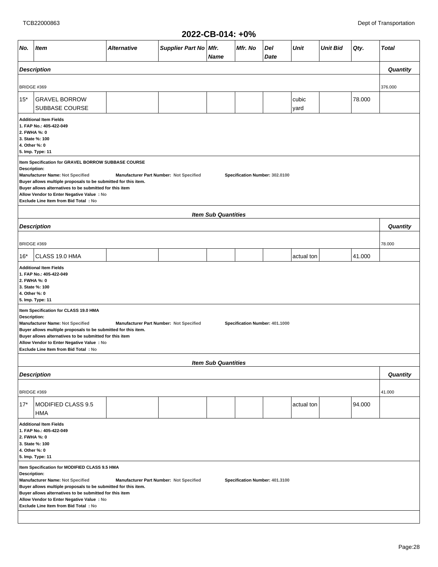| 2022-CB-014: +0% |  |  |
|------------------|--|--|
|------------------|--|--|

|                                                                                                                                  |                                                                                                                                                                                                                                                                                                                                                                                                         |             |                                         | LULL-VU-VIT. TV/U          |         |                                |               |                 |        |                 |  |  |
|----------------------------------------------------------------------------------------------------------------------------------|---------------------------------------------------------------------------------------------------------------------------------------------------------------------------------------------------------------------------------------------------------------------------------------------------------------------------------------------------------------------------------------------------------|-------------|-----------------------------------------|----------------------------|---------|--------------------------------|---------------|-----------------|--------|-----------------|--|--|
| No.                                                                                                                              | <b>Item</b>                                                                                                                                                                                                                                                                                                                                                                                             | Alternative | Supplier Part No Mfr.                   | Name                       | Mfr. No | Del<br>Date                    | <b>Unit</b>   | <b>Unit Bid</b> | Qty.   | <b>Total</b>    |  |  |
|                                                                                                                                  | <b>Description</b>                                                                                                                                                                                                                                                                                                                                                                                      |             |                                         |                            |         |                                |               |                 |        | Quantity        |  |  |
|                                                                                                                                  |                                                                                                                                                                                                                                                                                                                                                                                                         |             |                                         |                            |         |                                |               |                 |        |                 |  |  |
| BRIDGE #369                                                                                                                      |                                                                                                                                                                                                                                                                                                                                                                                                         |             |                                         |                            |         |                                |               |                 |        | 376.000         |  |  |
| $15*$                                                                                                                            | <b>GRAVEL BORROW</b><br>SUBBASE COURSE                                                                                                                                                                                                                                                                                                                                                                  |             |                                         |                            |         |                                | cubic<br>yard |                 | 78.000 |                 |  |  |
| <b>Additional Item Fields</b><br>1. FAP No.: 405-422-049<br>2. FWHA %: 0<br>3. State %: 100<br>4. Other %: 0<br>5. Imp. Type: 11 |                                                                                                                                                                                                                                                                                                                                                                                                         |             |                                         |                            |         |                                |               |                 |        |                 |  |  |
|                                                                                                                                  | Item Specification for GRAVEL BORROW SUBBASE COURSE<br>Description:<br>Manufacturer Name: Not Specified<br>Manufacturer Part Number: Not Specified<br>Specification Number: 302.0100<br>Buyer allows multiple proposals to be submitted for this item.<br>Buyer allows alternatives to be submitted for this item<br>Allow Vendor to Enter Negative Value : No<br>Exclude Line Item from Bid Total : No |             |                                         |                            |         |                                |               |                 |        |                 |  |  |
| <b>Item Sub Quantities</b>                                                                                                       |                                                                                                                                                                                                                                                                                                                                                                                                         |             |                                         |                            |         |                                |               |                 |        |                 |  |  |
|                                                                                                                                  | <b>Description</b>                                                                                                                                                                                                                                                                                                                                                                                      |             |                                         |                            |         |                                |               |                 |        | Quantity        |  |  |
| BRIDGE #369                                                                                                                      |                                                                                                                                                                                                                                                                                                                                                                                                         |             |                                         |                            |         |                                |               |                 |        | 78.000          |  |  |
| $16*$                                                                                                                            | CLASS 19.0 HMA                                                                                                                                                                                                                                                                                                                                                                                          |             |                                         |                            |         |                                | actual ton    |                 | 41.000 |                 |  |  |
| 2. FWHA %: 0<br>4. Other %: 0                                                                                                    | <b>Additional Item Fields</b><br>1. FAP No.: 405-422-049<br>3. State %: 100<br>5. Imp. Type: 11                                                                                                                                                                                                                                                                                                         |             |                                         |                            |         |                                |               |                 |        |                 |  |  |
| Description:                                                                                                                     | Item Specification for CLASS 19.0 HMA<br>Manufacturer Name: Not Specified<br>Buyer allows multiple proposals to be submitted for this item.<br>Buyer allows alternatives to be submitted for this item<br>Allow Vendor to Enter Negative Value : No<br>Exclude Line Item from Bid Total: No                                                                                                             |             | Manufacturer Part Number: Not Specified |                            |         | Specification Number: 401.1000 |               |                 |        |                 |  |  |
|                                                                                                                                  |                                                                                                                                                                                                                                                                                                                                                                                                         |             |                                         | <b>Item Sub Quantities</b> |         |                                |               |                 |        |                 |  |  |
|                                                                                                                                  | <b>Description</b>                                                                                                                                                                                                                                                                                                                                                                                      |             |                                         |                            |         |                                |               |                 |        | <b>Quantity</b> |  |  |
| BRIDGE #369                                                                                                                      |                                                                                                                                                                                                                                                                                                                                                                                                         |             |                                         |                            |         |                                |               |                 |        | 41.000          |  |  |
| $17*$                                                                                                                            | MODIFIED CLASS 9.5<br>HMA                                                                                                                                                                                                                                                                                                                                                                               |             |                                         |                            |         |                                | actual ton    |                 | 94.000 |                 |  |  |
| <b>Additional Item Fields</b><br>1. FAP No.: 405-422-049<br>2. FWHA %: 0<br>3. State %: 100<br>4. Other %: 0<br>5. Imp. Type: 11 |                                                                                                                                                                                                                                                                                                                                                                                                         |             |                                         |                            |         |                                |               |                 |        |                 |  |  |
|                                                                                                                                  | Item Specification for MODIFIED CLASS 9.5 HMA<br>Description:<br>Manufacturer Name: Not Specified<br>Manufacturer Part Number: Not Specified<br>Specification Number: 401.3100<br>Buyer allows multiple proposals to be submitted for this item.<br>Buyer allows alternatives to be submitted for this item<br>Allow Vendor to Enter Negative Value : No<br>Exclude Line Item from Bid Total : No       |             |                                         |                            |         |                                |               |                 |        |                 |  |  |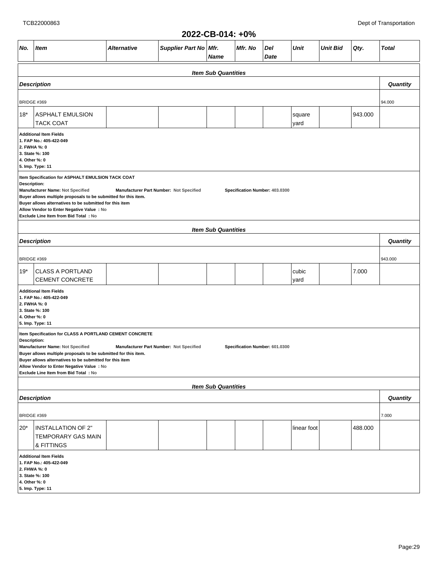|                                                                                                                                  | 2022-CB-014: +0%                                                                                                                                                                                                                                                                                                                                |             |                                         |                            |         |                                |               |                 |         |              |  |
|----------------------------------------------------------------------------------------------------------------------------------|-------------------------------------------------------------------------------------------------------------------------------------------------------------------------------------------------------------------------------------------------------------------------------------------------------------------------------------------------|-------------|-----------------------------------------|----------------------------|---------|--------------------------------|---------------|-----------------|---------|--------------|--|
| No.                                                                                                                              | Item                                                                                                                                                                                                                                                                                                                                            | Alternative | Supplier Part No Mfr.                   | <b>Name</b>                | Mfr. No | Del<br>Date                    | Unit          | <b>Unit Bid</b> | Qty.    | <b>Total</b> |  |
|                                                                                                                                  |                                                                                                                                                                                                                                                                                                                                                 |             |                                         | <b>Item Sub Quantities</b> |         |                                |               |                 |         |              |  |
|                                                                                                                                  | <b>Description</b>                                                                                                                                                                                                                                                                                                                              |             |                                         |                            |         |                                |               |                 |         | Quantity     |  |
| <b>BRIDGE #369</b>                                                                                                               |                                                                                                                                                                                                                                                                                                                                                 |             |                                         |                            |         |                                |               |                 |         | 94.000       |  |
| $18*$                                                                                                                            | <b>ASPHALT EMULSION</b>                                                                                                                                                                                                                                                                                                                         |             |                                         |                            |         |                                | square        |                 | 943.000 |              |  |
|                                                                                                                                  | <b>TACK COAT</b>                                                                                                                                                                                                                                                                                                                                |             |                                         |                            |         |                                | yard          |                 |         |              |  |
| <b>Additional Item Fields</b><br>1. FAP No.: 405-422-049<br>2. FWHA %: 0<br>3. State %: 100<br>4. Other %: 0<br>5. Imp. Type: 11 |                                                                                                                                                                                                                                                                                                                                                 |             |                                         |                            |         |                                |               |                 |         |              |  |
|                                                                                                                                  | Item Specification for ASPHALT EMULSION TACK COAT                                                                                                                                                                                                                                                                                               |             |                                         |                            |         |                                |               |                 |         |              |  |
|                                                                                                                                  | Description:<br>Manufacturer Name: Not Specified<br>Manufacturer Part Number: Not Specified<br>Specification Number: 403.0300<br>Buyer allows multiple proposals to be submitted for this item.<br>Buyer allows alternatives to be submitted for this item<br>Allow Vendor to Enter Negative Value : No<br>Exclude Line Item from Bid Total: No |             |                                         |                            |         |                                |               |                 |         |              |  |
|                                                                                                                                  |                                                                                                                                                                                                                                                                                                                                                 |             |                                         | <b>Item Sub Quantities</b> |         |                                |               |                 |         |              |  |
|                                                                                                                                  | <b>Description</b>                                                                                                                                                                                                                                                                                                                              |             |                                         |                            |         |                                |               |                 |         | Quantity     |  |
| BRIDGE #369                                                                                                                      |                                                                                                                                                                                                                                                                                                                                                 |             |                                         |                            |         |                                |               |                 | 943.000 |              |  |
| 19*                                                                                                                              | <b>CLASS A PORTLAND</b><br><b>CEMENT CONCRETE</b>                                                                                                                                                                                                                                                                                               |             |                                         |                            |         |                                | cubic<br>yard |                 | 7.000   |              |  |
|                                                                                                                                  | <b>Additional Item Fields</b><br>1. FAP No.: 405-422-049<br>2. FWHA %: 0<br>3. State %: 100<br>4. Other %: 0<br>5. Imp. Type: 11                                                                                                                                                                                                                |             |                                         |                            |         |                                |               |                 |         |              |  |
| Description:                                                                                                                     | Item Specification for CLASS A PORTLAND CEMENT CONCRETE                                                                                                                                                                                                                                                                                         |             |                                         |                            |         |                                |               |                 |         |              |  |
|                                                                                                                                  | Manufacturer Name: Not Specified<br>Buyer allows multiple proposals to be submitted for this item.<br>Buyer allows alternatives to be submitted for this item<br>Allow Vendor to Enter Negative Value : No<br>Exclude Line Item from Bid Total: No                                                                                              |             | Manufacturer Part Number: Not Specified |                            |         | Specification Number: 601.0300 |               |                 |         |              |  |
|                                                                                                                                  |                                                                                                                                                                                                                                                                                                                                                 |             |                                         | <b>Item Sub Quantities</b> |         |                                |               |                 |         |              |  |
|                                                                                                                                  | <b>Description</b>                                                                                                                                                                                                                                                                                                                              |             |                                         |                            |         |                                |               |                 |         | Quantity     |  |
| BRIDGE #369                                                                                                                      |                                                                                                                                                                                                                                                                                                                                                 |             |                                         |                            |         |                                |               |                 |         | 7.000        |  |
| $20*$                                                                                                                            | <b>INSTALLATION OF 2"</b><br>TEMPORARY GAS MAIN<br>& FITTINGS                                                                                                                                                                                                                                                                                   |             |                                         |                            |         |                                | linear foot   |                 | 488.000 |              |  |
|                                                                                                                                  | <b>Additional Item Fields</b><br>1. FAP No.: 405-422-049<br>2. FHWA %: 0<br>3. State %: 100<br>4. Other %: 0<br>5. Imp. Type: 11                                                                                                                                                                                                                |             |                                         |                            |         |                                |               |                 |         |              |  |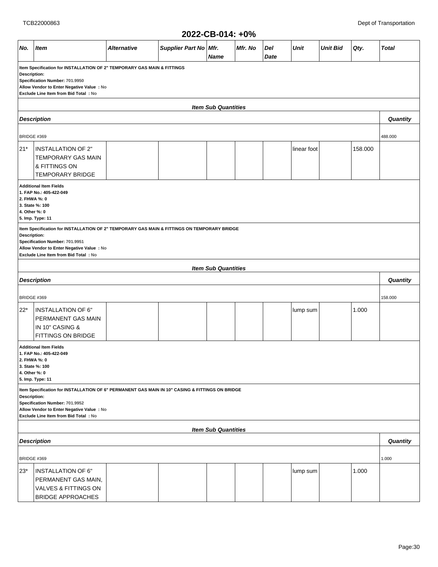#### **2022-CB-014: +0% No. Item Alternative Supplier Part No Mfr. Name Mfr. No Del Date Unit Unit Bid Qty. Total Item Specification for INSTALLATION OF 2" TEMPORARY GAS MAIN & FITTINGS Description: Specification Number: 701.9950 Allow Vendor to Enter Negative Value : No Exclude Line Item from Bid Total : No Item Sub Quantities Description Quantity** BRIDGE #369 488.000 21\* | INSTALLATION OF 2" TEMPORARY GAS MAIN & FITTINGS ON TEMPORARY BRIDGE  $\frac{1}{158.000}$ **Additional Item Fields 1. FAP No.: 405-422-049 2. FHWA %: 0 3. State %: 100 4. Other %: 0 5. Imp. Type: 11 Item Specification for INSTALLATION OF 2" TEMPORARY GAS MAIN & FITTINGS ON TEMPORARY BRIDGE Description: Specification Number: 701.9951 Allow Vendor to Enter Negative Value : No Exclude Line Item from Bid Total : No Item Sub Quantities Description Quantity** BRIDGE #369 158.000 22\* INSTALLATION OF 6" PERMANENT GAS MAIN IN 10" CASING & FITTINGS ON BRIDGE  $\text{lump sum}$  | 1.000 **Additional Item Fields 1. FAP No.: 405-422-049 2. FHWA %: 0 3. State %: 100 4. Other %: 0 5. Imp. Type: 11 Item Specification for INSTALLATION OF 6" PERMANENT GAS MAIN IN 10" CASING & FITTINGS ON BRIDGE Description: Specification Number: 701.9952 Allow Vendor to Enter Negative Value : No Exclude Line Item from Bid Total : No Item Sub Quantities Description Quantity** BRIDGE #369 1.000 23\* INSTALLATION OF 6" PERMANENT GAS MAIN, VALVES & FITTINGS ON BRIDGE APPROACHES  $\lvert \text{lump sum} \rvert$   $\lvert$  1.000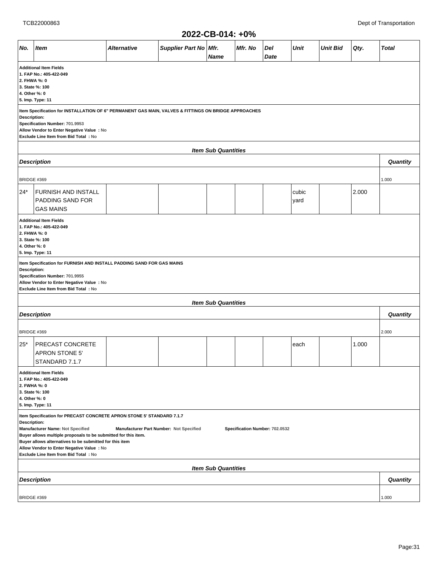|                                                                                                                                                                                                                                             |                                                                                                                                                                                                                                                                                                                                                                                                                          |                    |                       | ZUZZ-VD-VIT. TV/0          |         |             |               |                 |       |                 |  |
|---------------------------------------------------------------------------------------------------------------------------------------------------------------------------------------------------------------------------------------------|--------------------------------------------------------------------------------------------------------------------------------------------------------------------------------------------------------------------------------------------------------------------------------------------------------------------------------------------------------------------------------------------------------------------------|--------------------|-----------------------|----------------------------|---------|-------------|---------------|-----------------|-------|-----------------|--|
| No.                                                                                                                                                                                                                                         | <b>Item</b>                                                                                                                                                                                                                                                                                                                                                                                                              | <b>Alternative</b> | Supplier Part No Mfr. | <b>Name</b>                | Mfr. No | Del<br>Date | Unit          | <b>Unit Bid</b> | Qty.  | <b>Total</b>    |  |
| <b>Additional Item Fields</b><br>1. FAP No.: 405-422-049<br>2. FHWA %: 0<br>3. State %: 100<br>4. Other %: 0<br>5. Imp. Type: 11                                                                                                            |                                                                                                                                                                                                                                                                                                                                                                                                                          |                    |                       |                            |         |             |               |                 |       |                 |  |
| Item Specification for INSTALLATION OF 6" PERMANENT GAS MAIN, VALVES & FITTINGS ON BRIDGE APPROACHES<br>Description:<br>Specification Number: 701.9953<br>Allow Vendor to Enter Negative Value : No<br>Exclude Line Item from Bid Total: No |                                                                                                                                                                                                                                                                                                                                                                                                                          |                    |                       |                            |         |             |               |                 |       |                 |  |
| <b>Item Sub Quantities</b>                                                                                                                                                                                                                  |                                                                                                                                                                                                                                                                                                                                                                                                                          |                    |                       |                            |         |             |               |                 |       |                 |  |
| <b>Description</b>                                                                                                                                                                                                                          |                                                                                                                                                                                                                                                                                                                                                                                                                          |                    |                       |                            |         |             |               |                 |       |                 |  |
| BRIDGE #369                                                                                                                                                                                                                                 |                                                                                                                                                                                                                                                                                                                                                                                                                          |                    |                       |                            |         |             |               |                 |       | 1.000           |  |
| $24*$                                                                                                                                                                                                                                       | <b>FURNISH AND INSTALL</b><br><b>PADDING SAND FOR</b><br><b>GAS MAINS</b>                                                                                                                                                                                                                                                                                                                                                |                    |                       |                            |         |             | cubic<br>yard |                 | 2.000 |                 |  |
| Specification Number: 701.9955                                                                                                                                                                                                              | <b>Additional Item Fields</b><br>1. FAP No.: 405-422-049<br>2. FHWA %: 0<br>3. State %: 100<br>4. Other %: 0<br>5. Imp. Type: 11<br>Item Specification for FURNISH AND INSTALL PADDING SAND FOR GAS MAINS<br>Description:                                                                                                                                                                                                |                    |                       |                            |         |             |               |                 |       |                 |  |
|                                                                                                                                                                                                                                             | Allow Vendor to Enter Negative Value : No<br>Exclude Line Item from Bid Total: No                                                                                                                                                                                                                                                                                                                                        |                    |                       |                            |         |             |               |                 |       |                 |  |
|                                                                                                                                                                                                                                             |                                                                                                                                                                                                                                                                                                                                                                                                                          |                    |                       | <b>Item Sub Quantities</b> |         |             |               |                 |       |                 |  |
|                                                                                                                                                                                                                                             | <b>Description</b>                                                                                                                                                                                                                                                                                                                                                                                                       |                    |                       |                            |         |             |               |                 |       | <b>Quantity</b> |  |
| BRIDGE #369                                                                                                                                                                                                                                 |                                                                                                                                                                                                                                                                                                                                                                                                                          |                    |                       |                            |         |             |               |                 |       | 2.000           |  |
| 25*                                                                                                                                                                                                                                         | <b>PRECAST CONCRETE</b><br>APRON STONE 5'<br>STANDARD 7.1.7                                                                                                                                                                                                                                                                                                                                                              |                    |                       |                            |         |             | each          |                 | 1.000 |                 |  |
| 2. FWHA %: 0<br>4. Other %: 0                                                                                                                                                                                                               | <b>Additional Item Fields</b><br>1. FAP No.: 405-422-049<br>3. State %: 100<br>5. Imp. Type: 11                                                                                                                                                                                                                                                                                                                          |                    |                       |                            |         |             |               |                 |       |                 |  |
|                                                                                                                                                                                                                                             | Item Specification for PRECAST CONCRETE APRON STONE 5' STANDARD 7.1.7<br>Description:<br>Manufacturer Name: Not Specified<br>Manufacturer Part Number: Not Specified<br>Specification Number: 702.0532<br>Buyer allows multiple proposals to be submitted for this item.<br>Buyer allows alternatives to be submitted for this item<br>Allow Vendor to Enter Negative Value : No<br>Exclude Line Item from Bid Total: No |                    |                       |                            |         |             |               |                 |       |                 |  |
| <b>Item Sub Quantities</b>                                                                                                                                                                                                                  |                                                                                                                                                                                                                                                                                                                                                                                                                          |                    |                       |                            |         |             |               |                 |       |                 |  |
|                                                                                                                                                                                                                                             | <b>Description</b>                                                                                                                                                                                                                                                                                                                                                                                                       |                    |                       |                            |         |             |               |                 |       | Quantity        |  |
| BRIDGE #369                                                                                                                                                                                                                                 |                                                                                                                                                                                                                                                                                                                                                                                                                          |                    |                       |                            |         |             |               |                 |       | 1.000           |  |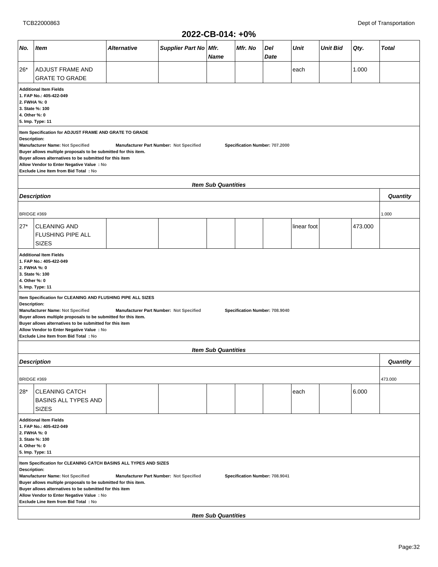| No.<br>Supplier Part No Mfr.<br>Mfr. No<br>Del<br><b>Unit</b><br><b>Unit Bid</b><br>Qty.<br><b>Total</b><br><b>Item</b><br>Alternative<br>Date<br><b>Name</b><br>1.000<br>$26*$<br>ADJUST FRAME AND<br>each<br><b>GRATE TO GRADE</b><br><b>Additional Item Fields</b><br>1. FAP No.: 405-422-049<br>2. FWHA %: 0<br>3. State %: 100<br>4. Other %: 0<br>5. Imp. Type: 11<br>Item Specification for ADJUST FRAME AND GRATE TO GRADE<br>Description:<br>Manufacturer Name: Not Specified<br>Manufacturer Part Number: Not Specified<br>Specification Number: 707.2000<br>Buyer allows multiple proposals to be submitted for this item.<br>Buyer allows alternatives to be submitted for this item<br>Allow Vendor to Enter Negative Value : No<br>Exclude Line Item from Bid Total: No<br><b>Item Sub Quantities</b><br>Quantity<br><b>Description</b><br>BRIDGE #369<br>1.000<br>$27*$<br>473.000<br><b>CLEANING AND</b><br>linear foot<br>FLUSHING PIPE ALL<br><b>SIZES</b><br><b>Additional Item Fields</b><br>1. FAP No.: 405-422-049<br>2. FWHA %: 0<br>3. State %: 100<br>4. Other %: 0<br>5. Imp. Type: 11<br>Item Specification for CLEANING AND FLUSHING PIPE ALL SIZES<br>Description:<br>Manufacturer Name: Not Specified<br>Manufacturer Part Number: Not Specified<br>Specification Number: 708.9040<br>Buyer allows multiple proposals to be submitted for this item.<br>Buyer allows alternatives to be submitted for this item<br>Allow Vendor to Enter Negative Value : No<br>Exclude Line Item from Bid Total: No<br><b>Item Sub Quantities</b><br><b>Description</b><br>Quantity<br>BRIDGE #369<br>473.000<br>$28*$<br>6.000<br><b>CLEANING CATCH</b><br>each<br><b>BASINS ALL TYPES AND</b><br><b>SIZES</b><br><b>Additional Item Fields</b><br>1. FAP No.: 405-422-049<br>2. FWHA %: 0<br>3. State %: 100<br>4. Other %: 0<br>5. Imp. Type: 11<br>Item Specification for CLEANING CATCH BASINS ALL TYPES AND SIZES<br>Description:<br>Manufacturer Name: Not Specified<br>Manufacturer Part Number: Not Specified<br>Specification Number: 708.9041<br>Buyer allows multiple proposals to be submitted for this item.<br>Buyer allows alternatives to be submitted for this item<br>Allow Vendor to Enter Negative Value : No<br>Exclude Line Item from Bid Total: No |  | ZUZZ-CB-014: +0% |  |  |  |  |  |  |  |  |  |  |  |  |
|-------------------------------------------------------------------------------------------------------------------------------------------------------------------------------------------------------------------------------------------------------------------------------------------------------------------------------------------------------------------------------------------------------------------------------------------------------------------------------------------------------------------------------------------------------------------------------------------------------------------------------------------------------------------------------------------------------------------------------------------------------------------------------------------------------------------------------------------------------------------------------------------------------------------------------------------------------------------------------------------------------------------------------------------------------------------------------------------------------------------------------------------------------------------------------------------------------------------------------------------------------------------------------------------------------------------------------------------------------------------------------------------------------------------------------------------------------------------------------------------------------------------------------------------------------------------------------------------------------------------------------------------------------------------------------------------------------------------------------------------------------------------------------------------------------------------------------------------------------------------------------------------------------------------------------------------------------------------------------------------------------------------------------------------------------------------------------------------------------------------------------------------------------------------------------------------------------------------------------------------------------------------------------------------|--|------------------|--|--|--|--|--|--|--|--|--|--|--|--|
|                                                                                                                                                                                                                                                                                                                                                                                                                                                                                                                                                                                                                                                                                                                                                                                                                                                                                                                                                                                                                                                                                                                                                                                                                                                                                                                                                                                                                                                                                                                                                                                                                                                                                                                                                                                                                                                                                                                                                                                                                                                                                                                                                                                                                                                                                           |  |                  |  |  |  |  |  |  |  |  |  |  |  |  |
|                                                                                                                                                                                                                                                                                                                                                                                                                                                                                                                                                                                                                                                                                                                                                                                                                                                                                                                                                                                                                                                                                                                                                                                                                                                                                                                                                                                                                                                                                                                                                                                                                                                                                                                                                                                                                                                                                                                                                                                                                                                                                                                                                                                                                                                                                           |  |                  |  |  |  |  |  |  |  |  |  |  |  |  |
|                                                                                                                                                                                                                                                                                                                                                                                                                                                                                                                                                                                                                                                                                                                                                                                                                                                                                                                                                                                                                                                                                                                                                                                                                                                                                                                                                                                                                                                                                                                                                                                                                                                                                                                                                                                                                                                                                                                                                                                                                                                                                                                                                                                                                                                                                           |  |                  |  |  |  |  |  |  |  |  |  |  |  |  |
|                                                                                                                                                                                                                                                                                                                                                                                                                                                                                                                                                                                                                                                                                                                                                                                                                                                                                                                                                                                                                                                                                                                                                                                                                                                                                                                                                                                                                                                                                                                                                                                                                                                                                                                                                                                                                                                                                                                                                                                                                                                                                                                                                                                                                                                                                           |  |                  |  |  |  |  |  |  |  |  |  |  |  |  |
|                                                                                                                                                                                                                                                                                                                                                                                                                                                                                                                                                                                                                                                                                                                                                                                                                                                                                                                                                                                                                                                                                                                                                                                                                                                                                                                                                                                                                                                                                                                                                                                                                                                                                                                                                                                                                                                                                                                                                                                                                                                                                                                                                                                                                                                                                           |  |                  |  |  |  |  |  |  |  |  |  |  |  |  |
|                                                                                                                                                                                                                                                                                                                                                                                                                                                                                                                                                                                                                                                                                                                                                                                                                                                                                                                                                                                                                                                                                                                                                                                                                                                                                                                                                                                                                                                                                                                                                                                                                                                                                                                                                                                                                                                                                                                                                                                                                                                                                                                                                                                                                                                                                           |  |                  |  |  |  |  |  |  |  |  |  |  |  |  |
|                                                                                                                                                                                                                                                                                                                                                                                                                                                                                                                                                                                                                                                                                                                                                                                                                                                                                                                                                                                                                                                                                                                                                                                                                                                                                                                                                                                                                                                                                                                                                                                                                                                                                                                                                                                                                                                                                                                                                                                                                                                                                                                                                                                                                                                                                           |  |                  |  |  |  |  |  |  |  |  |  |  |  |  |
|                                                                                                                                                                                                                                                                                                                                                                                                                                                                                                                                                                                                                                                                                                                                                                                                                                                                                                                                                                                                                                                                                                                                                                                                                                                                                                                                                                                                                                                                                                                                                                                                                                                                                                                                                                                                                                                                                                                                                                                                                                                                                                                                                                                                                                                                                           |  |                  |  |  |  |  |  |  |  |  |  |  |  |  |
|                                                                                                                                                                                                                                                                                                                                                                                                                                                                                                                                                                                                                                                                                                                                                                                                                                                                                                                                                                                                                                                                                                                                                                                                                                                                                                                                                                                                                                                                                                                                                                                                                                                                                                                                                                                                                                                                                                                                                                                                                                                                                                                                                                                                                                                                                           |  |                  |  |  |  |  |  |  |  |  |  |  |  |  |
|                                                                                                                                                                                                                                                                                                                                                                                                                                                                                                                                                                                                                                                                                                                                                                                                                                                                                                                                                                                                                                                                                                                                                                                                                                                                                                                                                                                                                                                                                                                                                                                                                                                                                                                                                                                                                                                                                                                                                                                                                                                                                                                                                                                                                                                                                           |  |                  |  |  |  |  |  |  |  |  |  |  |  |  |
|                                                                                                                                                                                                                                                                                                                                                                                                                                                                                                                                                                                                                                                                                                                                                                                                                                                                                                                                                                                                                                                                                                                                                                                                                                                                                                                                                                                                                                                                                                                                                                                                                                                                                                                                                                                                                                                                                                                                                                                                                                                                                                                                                                                                                                                                                           |  |                  |  |  |  |  |  |  |  |  |  |  |  |  |
|                                                                                                                                                                                                                                                                                                                                                                                                                                                                                                                                                                                                                                                                                                                                                                                                                                                                                                                                                                                                                                                                                                                                                                                                                                                                                                                                                                                                                                                                                                                                                                                                                                                                                                                                                                                                                                                                                                                                                                                                                                                                                                                                                                                                                                                                                           |  |                  |  |  |  |  |  |  |  |  |  |  |  |  |
|                                                                                                                                                                                                                                                                                                                                                                                                                                                                                                                                                                                                                                                                                                                                                                                                                                                                                                                                                                                                                                                                                                                                                                                                                                                                                                                                                                                                                                                                                                                                                                                                                                                                                                                                                                                                                                                                                                                                                                                                                                                                                                                                                                                                                                                                                           |  |                  |  |  |  |  |  |  |  |  |  |  |  |  |
|                                                                                                                                                                                                                                                                                                                                                                                                                                                                                                                                                                                                                                                                                                                                                                                                                                                                                                                                                                                                                                                                                                                                                                                                                                                                                                                                                                                                                                                                                                                                                                                                                                                                                                                                                                                                                                                                                                                                                                                                                                                                                                                                                                                                                                                                                           |  |                  |  |  |  |  |  |  |  |  |  |  |  |  |
| <b>Item Sub Quantities</b>                                                                                                                                                                                                                                                                                                                                                                                                                                                                                                                                                                                                                                                                                                                                                                                                                                                                                                                                                                                                                                                                                                                                                                                                                                                                                                                                                                                                                                                                                                                                                                                                                                                                                                                                                                                                                                                                                                                                                                                                                                                                                                                                                                                                                                                                |  |                  |  |  |  |  |  |  |  |  |  |  |  |  |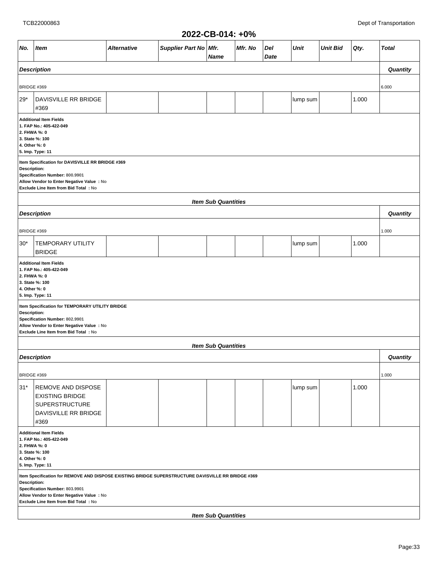| 2022-CB-014: +0% |  |  |
|------------------|--|--|
|------------------|--|--|

| ZUZZ "UD"U 14. TU /0                                                                                                                                                                 |                                                                                                                                                                                                                                           |             |                       |                            |         |             |             |                 |       |              |  |  |  |
|--------------------------------------------------------------------------------------------------------------------------------------------------------------------------------------|-------------------------------------------------------------------------------------------------------------------------------------------------------------------------------------------------------------------------------------------|-------------|-----------------------|----------------------------|---------|-------------|-------------|-----------------|-------|--------------|--|--|--|
| No.                                                                                                                                                                                  | <b>Item</b>                                                                                                                                                                                                                               | Alternative | Supplier Part No Mfr. | <b>Name</b>                | Mfr. No | Del<br>Date | <b>Unit</b> | <b>Unit Bid</b> | Qty.  | <b>Total</b> |  |  |  |
|                                                                                                                                                                                      | <b>Description</b>                                                                                                                                                                                                                        |             |                       |                            |         |             |             |                 |       | Quantity     |  |  |  |
| BRIDGE #369                                                                                                                                                                          |                                                                                                                                                                                                                                           |             |                       |                            |         |             |             |                 |       | 6.000        |  |  |  |
| $29*$                                                                                                                                                                                | DAVISVILLE RR BRIDGE<br>#369                                                                                                                                                                                                              |             |                       |                            |         |             | lump sum    |                 | 1.000 |              |  |  |  |
| <b>Additional Item Fields</b><br>1. FAP No.: 405-422-049<br>2. FHWA %: 0<br>3. State %: 100<br>4. Other %: 0<br>5. Imp. Type: 11<br>Item Specification for DAVISVILLE RR BRIDGE #369 |                                                                                                                                                                                                                                           |             |                       |                            |         |             |             |                 |       |              |  |  |  |
|                                                                                                                                                                                      | Description:<br>Specification Number: 800.9901<br>Allow Vendor to Enter Negative Value : No<br>Exclude Line Item from Bid Total : No                                                                                                      |             |                       |                            |         |             |             |                 |       |              |  |  |  |
|                                                                                                                                                                                      |                                                                                                                                                                                                                                           |             |                       | <b>Item Sub Quantities</b> |         |             |             |                 |       |              |  |  |  |
|                                                                                                                                                                                      | <b>Description</b>                                                                                                                                                                                                                        |             |                       |                            |         |             |             |                 |       | Quantity     |  |  |  |
| BRIDGE #369                                                                                                                                                                          |                                                                                                                                                                                                                                           |             |                       |                            |         |             |             |                 |       | 1.000        |  |  |  |
| $30*$                                                                                                                                                                                | <b>TEMPORARY UTILITY</b><br><b>BRIDGE</b>                                                                                                                                                                                                 |             |                       |                            |         |             | lump sum    |                 | 1.000 |              |  |  |  |
| 2. FHWA %: 0<br>4. Other %: 0<br>Description:                                                                                                                                        | <b>Additional Item Fields</b><br>1. FAP No.: 405-422-049<br>3. State %: 100<br>5. Imp. Type: 11<br>Item Specification for TEMPORARY UTILITY BRIDGE                                                                                        |             |                       |                            |         |             |             |                 |       |              |  |  |  |
|                                                                                                                                                                                      | Specification Number: 802.9901<br>Allow Vendor to Enter Negative Value : No<br>Exclude Line Item from Bid Total : No                                                                                                                      |             |                       |                            |         |             |             |                 |       |              |  |  |  |
|                                                                                                                                                                                      |                                                                                                                                                                                                                                           |             |                       | <b>Item Sub Quantities</b> |         |             |             |                 |       |              |  |  |  |
|                                                                                                                                                                                      | <b>Description</b>                                                                                                                                                                                                                        |             |                       |                            |         |             |             |                 |       | Quantity     |  |  |  |
| BRIDGE #369                                                                                                                                                                          |                                                                                                                                                                                                                                           |             |                       |                            |         |             |             |                 |       | 1.000        |  |  |  |
| $31*$                                                                                                                                                                                | REMOVE AND DISPOSE<br><b>EXISTING BRIDGE</b><br><b>SUPERSTRUCTURE</b><br>DAVISVILLE RR BRIDGE<br>#369                                                                                                                                     |             |                       |                            |         |             | lump sum    |                 | 1.000 |              |  |  |  |
| 2. FHWA %: 0<br>4. Other %: 0                                                                                                                                                        | <b>Additional Item Fields</b><br>1. FAP No.: 405-422-049<br>3. State %: 100<br>5. Imp. Type: 11                                                                                                                                           |             |                       |                            |         |             |             |                 |       |              |  |  |  |
|                                                                                                                                                                                      | Item Specification for REMOVE AND DISPOSE EXISTING BRIDGE SUPERSTRUCTURE DAVISVILLE RR BRIDGE #369<br>Description:<br>Specification Number: 803.9901<br>Allow Vendor to Enter Negative Value : No<br>Exclude Line Item from Bid Total: No |             |                       |                            |         |             |             |                 |       |              |  |  |  |
|                                                                                                                                                                                      |                                                                                                                                                                                                                                           |             |                       | <b>Item Sub Quantities</b> |         |             |             |                 |       |              |  |  |  |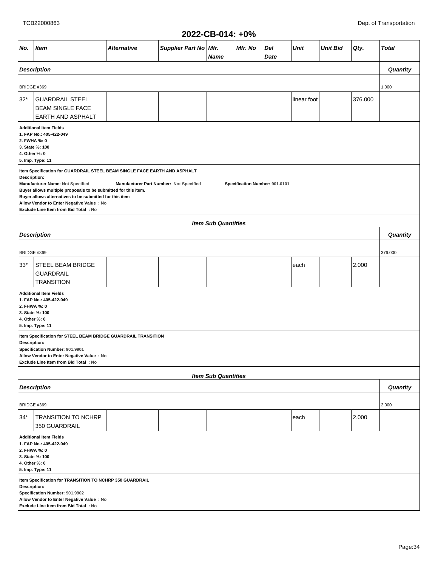|                                                                                                                                                                                                                                                                                                                                                                                                                               |                                                                                                                                                                                      |             |                       | ZUZZ-VD-VIT. TV/0          |         |             |             |                 |         |              |
|-------------------------------------------------------------------------------------------------------------------------------------------------------------------------------------------------------------------------------------------------------------------------------------------------------------------------------------------------------------------------------------------------------------------------------|--------------------------------------------------------------------------------------------------------------------------------------------------------------------------------------|-------------|-----------------------|----------------------------|---------|-------------|-------------|-----------------|---------|--------------|
| No.                                                                                                                                                                                                                                                                                                                                                                                                                           | <b>Item</b>                                                                                                                                                                          | Alternative | Supplier Part No Mfr. | <b>Name</b>                | Mfr. No | Del<br>Date | Unit        | <b>Unit Bid</b> | Qty.    | <b>Total</b> |
|                                                                                                                                                                                                                                                                                                                                                                                                                               | <b>Description</b>                                                                                                                                                                   |             |                       |                            |         |             |             |                 |         | Quantity     |
|                                                                                                                                                                                                                                                                                                                                                                                                                               |                                                                                                                                                                                      |             |                       |                            |         |             |             |                 |         |              |
| BRIDGE #369                                                                                                                                                                                                                                                                                                                                                                                                                   |                                                                                                                                                                                      |             |                       |                            |         |             |             |                 |         | 1.000        |
| 32*                                                                                                                                                                                                                                                                                                                                                                                                                           | <b>GUARDRAIL STEEL</b><br><b>BEAM SINGLE FACE</b><br><b>EARTH AND ASPHALT</b>                                                                                                        |             |                       |                            |         |             | linear foot |                 | 376.000 |              |
| <b>Additional Item Fields</b><br>1. FAP No.: 405-422-049<br>2. FWHA %: 0<br>3. State %: 100<br>4. Other %: 0<br>5. Imp. Type: 11                                                                                                                                                                                                                                                                                              |                                                                                                                                                                                      |             |                       |                            |         |             |             |                 |         |              |
| Item Specification for GUARDRAIL STEEL BEAM SINGLE FACE EARTH AND ASPHALT<br>Description:<br>Manufacturer Name: Not Specified<br>Manufacturer Part Number: Not Specified<br>Specification Number: 901.0101<br>Buyer allows multiple proposals to be submitted for this item.<br>Buyer allows alternatives to be submitted for this item<br>Allow Vendor to Enter Negative Value : No<br>Exclude Line Item from Bid Total : No |                                                                                                                                                                                      |             |                       |                            |         |             |             |                 |         |              |
|                                                                                                                                                                                                                                                                                                                                                                                                                               |                                                                                                                                                                                      |             |                       | <b>Item Sub Quantities</b> |         |             |             |                 |         |              |
|                                                                                                                                                                                                                                                                                                                                                                                                                               | <b>Description</b>                                                                                                                                                                   |             |                       |                            |         |             |             |                 |         | Quantity     |
| BRIDGE #369                                                                                                                                                                                                                                                                                                                                                                                                                   |                                                                                                                                                                                      |             |                       |                            |         |             |             |                 |         | 376.000      |
| 33*                                                                                                                                                                                                                                                                                                                                                                                                                           | <b>STEEL BEAM BRIDGE</b><br><b>GUARDRAIL</b><br><b>TRANSITION</b>                                                                                                                    |             |                       |                            |         |             | each        |                 | 2.000   |              |
| 2. FHWA %: 0<br>4. Other %: 0                                                                                                                                                                                                                                                                                                                                                                                                 | <b>Additional Item Fields</b><br>1. FAP No.: 405-422-049<br>3. State %: 100<br>5. Imp. Type: 11                                                                                      |             |                       |                            |         |             |             |                 |         |              |
| Description:                                                                                                                                                                                                                                                                                                                                                                                                                  | Item Specification for STEEL BEAM BRIDGE GUARDRAIL TRANSITION<br>Specification Number: 901.9901<br>Allow Vendor to Enter Negative Value : No<br>Exclude Line Item from Bid Total: No |             |                       |                            |         |             |             |                 |         |              |
|                                                                                                                                                                                                                                                                                                                                                                                                                               |                                                                                                                                                                                      |             |                       | <b>Item Sub Quantities</b> |         |             |             |                 |         |              |
|                                                                                                                                                                                                                                                                                                                                                                                                                               | <b>Description</b>                                                                                                                                                                   |             |                       |                            |         |             |             |                 |         | Quantity     |
| BRIDGE #369                                                                                                                                                                                                                                                                                                                                                                                                                   |                                                                                                                                                                                      |             |                       |                            |         |             |             |                 |         | 2.000        |
| 34*                                                                                                                                                                                                                                                                                                                                                                                                                           | <b>TRANSITION TO NCHRP</b><br>350 GUARDRAIL                                                                                                                                          |             |                       |                            |         |             | each        |                 | 2.000   |              |
| <b>Additional Item Fields</b><br>1. FAP No.: 405-422-049<br>2. FHWA %: 0<br>3. State %: 100<br>4. Other %: 0<br>5. Imp. Type: 11                                                                                                                                                                                                                                                                                              |                                                                                                                                                                                      |             |                       |                            |         |             |             |                 |         |              |
| Description:                                                                                                                                                                                                                                                                                                                                                                                                                  | Item Specification for TRANSITION TO NCHRP 350 GUARDRAIL<br>Specification Number: 901.9902<br>Allow Vendor to Enter Negative Value : No<br>Exclude Line Item from Bid Total : No     |             |                       |                            |         |             |             |                 |         |              |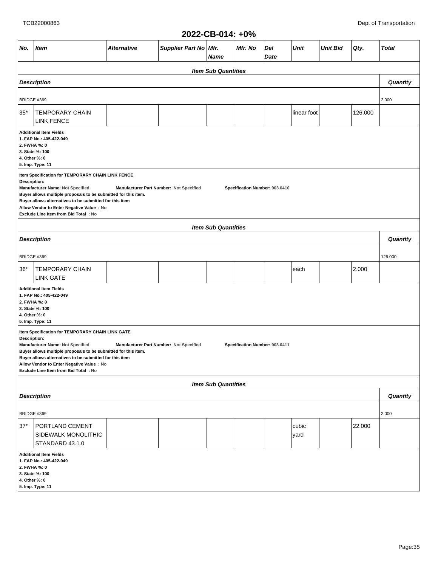|                                                                                                                                  | 2022-CB-014: +0%                                                                                                                                                                                                                                                                                                                                                                                     |             |                                         |                            |                                |             |               |                 |         |              |  |
|----------------------------------------------------------------------------------------------------------------------------------|------------------------------------------------------------------------------------------------------------------------------------------------------------------------------------------------------------------------------------------------------------------------------------------------------------------------------------------------------------------------------------------------------|-------------|-----------------------------------------|----------------------------|--------------------------------|-------------|---------------|-----------------|---------|--------------|--|
| No.                                                                                                                              | Item                                                                                                                                                                                                                                                                                                                                                                                                 | Alternative | Supplier Part No   Mfr.                 | Name                       | Mfr. No                        | Del<br>Date | Unit          | <b>Unit Bid</b> | Qty.    | <b>Total</b> |  |
|                                                                                                                                  |                                                                                                                                                                                                                                                                                                                                                                                                      |             |                                         | <b>Item Sub Quantities</b> |                                |             |               |                 |         |              |  |
|                                                                                                                                  | <b>Description</b>                                                                                                                                                                                                                                                                                                                                                                                   |             |                                         |                            |                                |             |               |                 |         | Quantity     |  |
| <b>BRIDGE #369</b>                                                                                                               |                                                                                                                                                                                                                                                                                                                                                                                                      |             |                                         |                            |                                |             |               |                 |         | 2.000        |  |
| $35*$                                                                                                                            | <b>TEMPORARY CHAIN</b><br><b>LINK FENCE</b>                                                                                                                                                                                                                                                                                                                                                          |             |                                         |                            |                                |             | linear foot   |                 | 126.000 |              |  |
|                                                                                                                                  | <b>Additional Item Fields</b><br>1. FAP No.: 405-422-049<br>2. FWHA %: 0<br>3. State %: 100<br>4. Other %: 0<br>5. Imp. Type: 11                                                                                                                                                                                                                                                                     |             |                                         |                            |                                |             |               |                 |         |              |  |
|                                                                                                                                  | Item Specification for TEMPORARY CHAIN LINK FENCE<br>Description:<br>Manufacturer Name: Not Specified<br>Manufacturer Part Number: Not Specified<br>Specification Number: 903.0410<br>Buyer allows multiple proposals to be submitted for this item.<br>Buyer allows alternatives to be submitted for this item<br>Allow Vendor to Enter Negative Value : No<br>Exclude Line Item from Bid Total: No |             |                                         |                            |                                |             |               |                 |         |              |  |
|                                                                                                                                  |                                                                                                                                                                                                                                                                                                                                                                                                      |             |                                         | <b>Item Sub Quantities</b> |                                |             |               |                 |         |              |  |
|                                                                                                                                  | <b>Description</b>                                                                                                                                                                                                                                                                                                                                                                                   |             |                                         |                            |                                |             |               |                 |         | Quantity     |  |
| <b>BRIDGE #369</b>                                                                                                               |                                                                                                                                                                                                                                                                                                                                                                                                      |             |                                         |                            |                                |             |               |                 | 126.000 |              |  |
| $36*$                                                                                                                            | TEMPORARY CHAIN<br><b>LINK GATE</b>                                                                                                                                                                                                                                                                                                                                                                  |             |                                         |                            |                                |             | each          |                 | 2.000   |              |  |
| 2. FWHA %: 0<br>4. Other %: 0                                                                                                    | <b>Additional Item Fields</b><br>1. FAP No.: 405-422-049<br>3. State %: 100<br>5. Imp. Type: 11                                                                                                                                                                                                                                                                                                      |             |                                         |                            |                                |             |               |                 |         |              |  |
| Description:                                                                                                                     | Item Specification for TEMPORARY CHAIN LINK GATE<br>Manufacturer Name: Not Specified<br>Buyer allows multiple proposals to be submitted for this item.<br>Buyer allows alternatives to be submitted for this item<br>Allow Vendor to Enter Negative Value : No<br>Exclude Line Item from Bid Total: No                                                                                               |             | Manufacturer Part Number: Not Specified |                            | Specification Number: 903.0411 |             |               |                 |         |              |  |
|                                                                                                                                  |                                                                                                                                                                                                                                                                                                                                                                                                      |             |                                         | <b>Item Sub Quantities</b> |                                |             |               |                 |         |              |  |
|                                                                                                                                  | <b>Description</b>                                                                                                                                                                                                                                                                                                                                                                                   |             |                                         |                            |                                |             |               |                 |         | Quantity     |  |
| BRIDGE #369                                                                                                                      |                                                                                                                                                                                                                                                                                                                                                                                                      |             |                                         |                            |                                |             |               |                 |         | 2.000        |  |
| $37*$                                                                                                                            | PORTLAND CEMENT<br>SIDEWALK MONOLITHIC<br>STANDARD 43.1.0                                                                                                                                                                                                                                                                                                                                            |             |                                         |                            |                                |             | cubic<br>yard |                 | 22.000  |              |  |
| <b>Additional Item Fields</b><br>1. FAP No.: 405-422-049<br>2. FWHA %: 0<br>3. State %: 100<br>4. Other %: 0<br>5. Imp. Type: 11 |                                                                                                                                                                                                                                                                                                                                                                                                      |             |                                         |                            |                                |             |               |                 |         |              |  |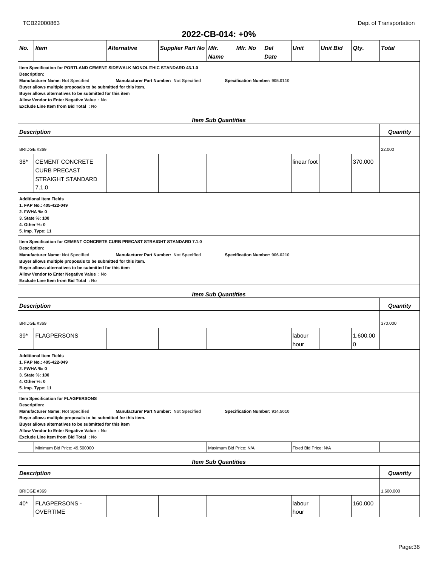|                                                                                                                                                                                                                                                                                                                                                                                                                                       |                                                                                                                                                                                                                                                                                           |                    |                                         | ZUZZ-VD-VI4. TV/0          |                                |             |                      |                 |               |              |
|---------------------------------------------------------------------------------------------------------------------------------------------------------------------------------------------------------------------------------------------------------------------------------------------------------------------------------------------------------------------------------------------------------------------------------------|-------------------------------------------------------------------------------------------------------------------------------------------------------------------------------------------------------------------------------------------------------------------------------------------|--------------------|-----------------------------------------|----------------------------|--------------------------------|-------------|----------------------|-----------------|---------------|--------------|
| No.                                                                                                                                                                                                                                                                                                                                                                                                                                   | <b>Item</b>                                                                                                                                                                                                                                                                               | <b>Alternative</b> | Supplier Part No Mfr.                   | <b>Name</b>                | Mfr. No                        | Del<br>Date | Unit                 | <b>Unit Bid</b> | Qty.          | <b>Total</b> |
| Item Specification for PORTLAND CEMENT SIDEWALK MONOLITHIC STANDARD 43.1.0<br>Description:<br>Manufacturer Name: Not Specified<br>Manufacturer Part Number: Not Specified<br>Specification Number: 905.0110<br>Buyer allows multiple proposals to be submitted for this item.<br>Buyer allows alternatives to be submitted for this item<br>Allow Vendor to Enter Negative Value : No<br>Exclude Line Item from Bid Total : No        |                                                                                                                                                                                                                                                                                           |                    |                                         |                            |                                |             |                      |                 |               |              |
|                                                                                                                                                                                                                                                                                                                                                                                                                                       |                                                                                                                                                                                                                                                                                           |                    |                                         | <b>Item Sub Quantities</b> |                                |             |                      |                 |               |              |
|                                                                                                                                                                                                                                                                                                                                                                                                                                       | <b>Description</b>                                                                                                                                                                                                                                                                        |                    |                                         |                            |                                |             |                      |                 |               | Quantity     |
| BRIDGE #369                                                                                                                                                                                                                                                                                                                                                                                                                           |                                                                                                                                                                                                                                                                                           |                    |                                         |                            |                                |             |                      |                 |               | 22.000       |
| $38*$                                                                                                                                                                                                                                                                                                                                                                                                                                 | <b>CEMENT CONCRETE</b><br><b>CURB PRECAST</b><br><b>STRAIGHT STANDARD</b><br>7.1.0                                                                                                                                                                                                        |                    |                                         |                            |                                |             | linear foot          |                 | 370.000       |              |
|                                                                                                                                                                                                                                                                                                                                                                                                                                       | <b>Additional Item Fields</b><br>1. FAP No.: 405-422-049<br>2. FWHA %: 0<br>3. State %: 100<br>4. Other %: 0<br>5. Imp. Type: 11                                                                                                                                                          |                    |                                         |                            |                                |             |                      |                 |               |              |
| Item Specification for CEMENT CONCRETE CURB PRECAST STRAIGHT STANDARD 7.1.0<br><b>Description:</b><br>Manufacturer Name: Not Specified<br>Manufacturer Part Number: Not Specified<br>Specification Number: 906.0210<br>Buyer allows multiple proposals to be submitted for this item.<br>Buyer allows alternatives to be submitted for this item<br>Allow Vendor to Enter Negative Value : No<br>Exclude Line Item from Bid Total: No |                                                                                                                                                                                                                                                                                           |                    |                                         |                            |                                |             |                      |                 |               |              |
|                                                                                                                                                                                                                                                                                                                                                                                                                                       |                                                                                                                                                                                                                                                                                           |                    |                                         | <b>Item Sub Quantities</b> |                                |             |                      |                 |               |              |
|                                                                                                                                                                                                                                                                                                                                                                                                                                       | <b>Description</b>                                                                                                                                                                                                                                                                        |                    |                                         |                            |                                |             |                      |                 |               | Quantity     |
| BRIDGE #369                                                                                                                                                                                                                                                                                                                                                                                                                           |                                                                                                                                                                                                                                                                                           |                    |                                         |                            |                                |             |                      |                 |               | 370.000      |
| $39*$                                                                                                                                                                                                                                                                                                                                                                                                                                 | <b>FLAGPERSONS</b>                                                                                                                                                                                                                                                                        |                    |                                         |                            |                                |             | labour<br>hour       |                 | 1,600.00<br>0 |              |
| 2. FWHA %: 0<br>4. Other %: 0                                                                                                                                                                                                                                                                                                                                                                                                         | <b>Additional Item Fields</b><br>1. FAP No.: 405-422-049<br>3. State %: 100<br>5. Imp. Type: 11                                                                                                                                                                                           |                    |                                         |                            |                                |             |                      |                 |               |              |
| <b>Description:</b>                                                                                                                                                                                                                                                                                                                                                                                                                   | Item Specification for FLAGPERSONS<br>Manufacturer Name: Not Specified<br>Buyer allows multiple proposals to be submitted for this item.<br>Buyer allows alternatives to be submitted for this item<br>Allow Vendor to Enter Negative Value : No<br>Exclude Line Item from Bid Total : No |                    | Manufacturer Part Number: Not Specified |                            | Specification Number: 914.5010 |             |                      |                 |               |              |
|                                                                                                                                                                                                                                                                                                                                                                                                                                       | Minimum Bid Price: 49,500000                                                                                                                                                                                                                                                              |                    |                                         | Maximum Bid Price: N/A     |                                |             | Fixed Bid Price: N/A |                 |               |              |
|                                                                                                                                                                                                                                                                                                                                                                                                                                       |                                                                                                                                                                                                                                                                                           |                    |                                         | <b>Item Sub Quantities</b> |                                |             |                      |                 |               |              |
|                                                                                                                                                                                                                                                                                                                                                                                                                                       | <b>Description</b>                                                                                                                                                                                                                                                                        |                    |                                         |                            |                                |             |                      |                 |               | Quantity     |
| BRIDGE #369                                                                                                                                                                                                                                                                                                                                                                                                                           |                                                                                                                                                                                                                                                                                           |                    |                                         |                            |                                |             |                      |                 |               | 1,600.000    |
| 40*                                                                                                                                                                                                                                                                                                                                                                                                                                   | <b>FLAGPERSONS -</b><br><b>OVERTIME</b>                                                                                                                                                                                                                                                   |                    |                                         |                            |                                |             | labour<br>hour       |                 | 160.000       |              |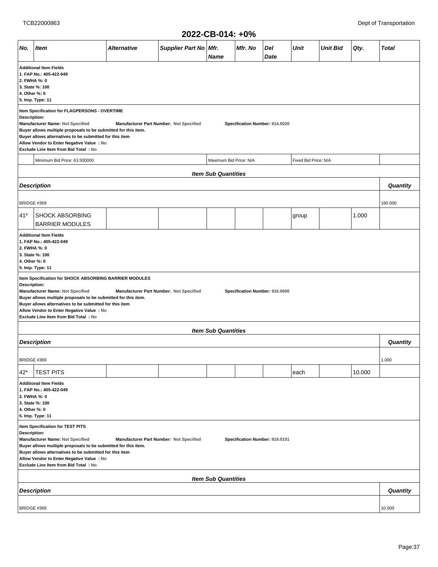|                                                                                                                                                                                                                                                                                                                                                                                                   |                                                                                                                                                                                                                                                                                                              |                    |                                         | ∠V∠∠~V⊔~V I T. TV /U       |                                |             |             |                 |        |              |  |
|---------------------------------------------------------------------------------------------------------------------------------------------------------------------------------------------------------------------------------------------------------------------------------------------------------------------------------------------------------------------------------------------------|--------------------------------------------------------------------------------------------------------------------------------------------------------------------------------------------------------------------------------------------------------------------------------------------------------------|--------------------|-----------------------------------------|----------------------------|--------------------------------|-------------|-------------|-----------------|--------|--------------|--|
| No.                                                                                                                                                                                                                                                                                                                                                                                               | <b>Item</b>                                                                                                                                                                                                                                                                                                  | <b>Alternative</b> | Supplier Part No Mfr.                   | <b>Name</b>                | Mfr. No                        | Del<br>Date | <b>Unit</b> | <b>Unit Bid</b> | Qty.   | <b>Total</b> |  |
| <b>Additional Item Fields</b><br>1. FAP No.: 405-422-049<br>2. FWHA %: 0<br>3. State %: 100<br>4. Other %: 0<br>5. Imp. Type: 11                                                                                                                                                                                                                                                                  |                                                                                                                                                                                                                                                                                                              |                    |                                         |                            |                                |             |             |                 |        |              |  |
| Item Specification for FLAGPERSONS - OVERTIME<br>Description:<br>Manufacturer Name: Not Specified<br>Manufacturer Part Number: Not Specified<br>Specification Number: 914.5020<br>Buyer allows multiple proposals to be submitted for this item.<br>Buyer allows alternatives to be submitted for this item<br>Allow Vendor to Enter Negative Value : No<br>Exclude Line Item from Bid Total : No |                                                                                                                                                                                                                                                                                                              |                    |                                         |                            |                                |             |             |                 |        |              |  |
| Minimum Bid Price: 63.500000<br>Maximum Bid Price: N/A<br>Fixed Bid Price: N/A                                                                                                                                                                                                                                                                                                                    |                                                                                                                                                                                                                                                                                                              |                    |                                         |                            |                                |             |             |                 |        |              |  |
|                                                                                                                                                                                                                                                                                                                                                                                                   |                                                                                                                                                                                                                                                                                                              |                    |                                         |                            |                                |             |             |                 |        |              |  |
| <b>Item Sub Quantities</b><br><b>Description</b>                                                                                                                                                                                                                                                                                                                                                  |                                                                                                                                                                                                                                                                                                              |                    |                                         |                            |                                |             |             |                 |        |              |  |
| BRIDGE #369                                                                                                                                                                                                                                                                                                                                                                                       |                                                                                                                                                                                                                                                                                                              |                    |                                         |                            |                                |             |             |                 |        | 160.000      |  |
| 41*                                                                                                                                                                                                                                                                                                                                                                                               | <b>SHOCK ABSORBING</b><br><b>BARRIER MODULES</b>                                                                                                                                                                                                                                                             |                    |                                         |                            |                                |             | group       |                 | 1.000  |              |  |
| <b>Additional Item Fields</b><br>1. FAP No.: 405-422-049<br>2. FWHA %: 0<br>3. State %: 100<br>4. Other %: 0<br>5. Imp. Type: 11                                                                                                                                                                                                                                                                  |                                                                                                                                                                                                                                                                                                              |                    |                                         |                            |                                |             |             |                 |        |              |  |
| Description:                                                                                                                                                                                                                                                                                                                                                                                      | Item Specification for SHOCK ABSORBING BARRIER MODULES<br>Manufacturer Name: Not Specified<br>Buyer allows multiple proposals to be submitted for this item.<br>Buyer allows alternatives to be submitted for this item<br>Allow Vendor to Enter Negative Value : No<br>Exclude Line Item from Bid Total: No |                    | Manufacturer Part Number: Not Specified |                            | Specification Number: 916.0600 |             |             |                 |        |              |  |
|                                                                                                                                                                                                                                                                                                                                                                                                   |                                                                                                                                                                                                                                                                                                              |                    |                                         | <b>Item Sub Quantities</b> |                                |             |             |                 |        |              |  |
|                                                                                                                                                                                                                                                                                                                                                                                                   | <b>Description</b>                                                                                                                                                                                                                                                                                           |                    |                                         |                            |                                |             |             |                 |        | Quantity     |  |
| BRIDGE #369                                                                                                                                                                                                                                                                                                                                                                                       |                                                                                                                                                                                                                                                                                                              |                    |                                         |                            |                                |             |             |                 |        | 1.000        |  |
| 42*                                                                                                                                                                                                                                                                                                                                                                                               | <b>TEST PITS</b>                                                                                                                                                                                                                                                                                             |                    |                                         |                            |                                |             | each        |                 | 10.000 |              |  |
| 2. FWHA %: 0<br>4. Other %: 0                                                                                                                                                                                                                                                                                                                                                                     | <b>Additional Item Fields</b><br>1. FAP No.: 405-422-049<br>3. State %: 100<br>5. Imp. Type: 11                                                                                                                                                                                                              |                    |                                         |                            |                                |             |             |                 |        |              |  |
| Item Specification for TEST PITS<br>Description:<br>Manufacturer Name: Not Specified<br>Manufacturer Part Number: Not Specified<br>Specification Number: 919.0101<br>Buyer allows multiple proposals to be submitted for this item.<br>Buyer allows alternatives to be submitted for this item<br>Allow Vendor to Enter Negative Value : No<br>Exclude Line Item from Bid Total : No              |                                                                                                                                                                                                                                                                                                              |                    |                                         |                            |                                |             |             |                 |        |              |  |
|                                                                                                                                                                                                                                                                                                                                                                                                   |                                                                                                                                                                                                                                                                                                              |                    |                                         | <b>Item Sub Quantities</b> |                                |             |             |                 |        |              |  |
|                                                                                                                                                                                                                                                                                                                                                                                                   | <b>Description</b>                                                                                                                                                                                                                                                                                           |                    |                                         |                            |                                |             |             |                 |        | Quantity     |  |
| BRIDGE #369                                                                                                                                                                                                                                                                                                                                                                                       |                                                                                                                                                                                                                                                                                                              |                    |                                         |                            |                                |             |             |                 |        | 10.000       |  |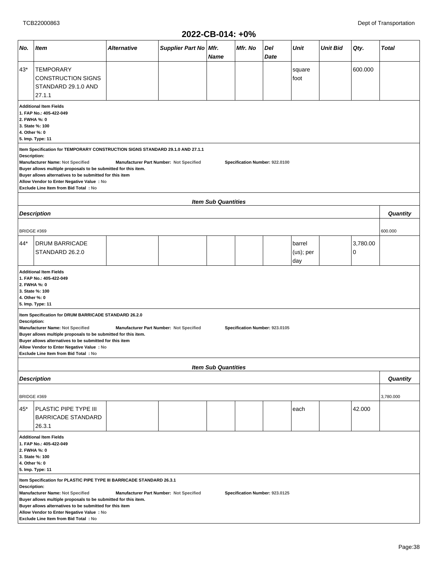|                    | ZUZZ-VD-VIT. TV /0                                                                                                                                                                                                                                                                                                                                                                                                                 |                                         |                       |                            |                                |             |                            |                 |               |              |  |  |
|--------------------|------------------------------------------------------------------------------------------------------------------------------------------------------------------------------------------------------------------------------------------------------------------------------------------------------------------------------------------------------------------------------------------------------------------------------------|-----------------------------------------|-----------------------|----------------------------|--------------------------------|-------------|----------------------------|-----------------|---------------|--------------|--|--|
| No.                | Item                                                                                                                                                                                                                                                                                                                                                                                                                               | Alternative                             | Supplier Part No Mfr. | Name                       | Mfr. No                        | Del<br>Date | Unit                       | <b>Unit Bid</b> | Qty.          | <b>Total</b> |  |  |
| $43*$              | <b>TEMPORARY</b><br><b>CONSTRUCTION SIGNS</b><br>STANDARD 29.1.0 AND<br>27.1.1                                                                                                                                                                                                                                                                                                                                                     |                                         |                       |                            |                                |             | square<br>foot             |                 | 600.000       |              |  |  |
|                    | <b>Additional Item Fields</b><br>1. FAP No.: 405-422-049<br>2. FWHA %: 0<br>3. State %: 100<br>4. Other %: 0<br>5. Imp. Type: 11                                                                                                                                                                                                                                                                                                   |                                         |                       |                            |                                |             |                            |                 |               |              |  |  |
|                    | Item Specification for TEMPORARY CONSTRUCTION SIGNS STANDARD 29.1.0 AND 27.1.1<br>Description:<br>Manufacturer Name: Not Specified<br>Manufacturer Part Number: Not Specified<br>Specification Number: 922.0100<br>Buyer allows multiple proposals to be submitted for this item.<br>Buyer allows alternatives to be submitted for this item<br>Allow Vendor to Enter Negative Value : No<br>Exclude Line Item from Bid Total : No |                                         |                       |                            |                                |             |                            |                 |               |              |  |  |
|                    |                                                                                                                                                                                                                                                                                                                                                                                                                                    |                                         |                       | <b>Item Sub Quantities</b> |                                |             |                            |                 |               |              |  |  |
|                    | <b>Description</b>                                                                                                                                                                                                                                                                                                                                                                                                                 |                                         |                       |                            |                                |             |                            |                 |               | Quantity     |  |  |
| <b>BRIDGE #369</b> |                                                                                                                                                                                                                                                                                                                                                                                                                                    |                                         |                       |                            |                                |             |                            |                 |               | 600.000      |  |  |
| 44*                | <b>DRUM BARRICADE</b><br>STANDARD 26.2.0                                                                                                                                                                                                                                                                                                                                                                                           |                                         |                       |                            |                                |             | barrel<br>(us); per<br>day |                 | 3,780.00<br>0 |              |  |  |
|                    | <b>Additional Item Fields</b><br>1. FAP No.: 405-422-049<br>2. FWHA %: 0<br>3. State %: 100<br>4. Other %: 0<br>5. Imp. Type: 11                                                                                                                                                                                                                                                                                                   |                                         |                       |                            |                                |             |                            |                 |               |              |  |  |
| Description:       | Item Specification for DRUM BARRICADE STANDARD 26.2.0<br>Manufacturer Name: Not Specified<br>Buyer allows multiple proposals to be submitted for this item.<br>Buyer allows alternatives to be submitted for this item<br>Allow Vendor to Enter Negative Value: No<br>Exclude Line Item from Bid Total : No                                                                                                                        | Manufacturer Part Number: Not Specified |                       |                            | Specification Number: 923.0105 |             |                            |                 |               |              |  |  |
|                    |                                                                                                                                                                                                                                                                                                                                                                                                                                    |                                         |                       | <b>Item Sub Quantities</b> |                                |             |                            |                 |               |              |  |  |
|                    | <b>Description</b>                                                                                                                                                                                                                                                                                                                                                                                                                 |                                         |                       |                            |                                |             |                            |                 |               | Quantity     |  |  |
| BRIDGE #369        |                                                                                                                                                                                                                                                                                                                                                                                                                                    |                                         |                       |                            |                                |             |                            |                 |               | 3,780.000    |  |  |
| 45*                | PLASTIC PIPE TYPE III<br>BARRICADE STANDARD<br>26.3.1                                                                                                                                                                                                                                                                                                                                                                              |                                         |                       |                            |                                |             | each                       |                 | 42.000        |              |  |  |
|                    | <b>Additional Item Fields</b><br>1. FAP No.: 405-422-049<br>2. FWHA %: 0<br>3. State %: 100<br>4. Other %: 0<br>5. Imp. Type: 11                                                                                                                                                                                                                                                                                                   |                                         |                       |                            |                                |             |                            |                 |               |              |  |  |
|                    | Item Specification for PLASTIC PIPE TYPE III BARRICADE STANDARD 26.3.1<br>Description:<br>Manufacturer Name: Not Specified<br>Manufacturer Part Number: Not Specified<br>Specification Number: 923.0125<br>Buyer allows multiple proposals to be submitted for this item.<br>Buyer allows alternatives to be submitted for this item<br>Allow Vendor to Enter Negative Value : No<br>Exclude Line Item from Bid Total: No          |                                         |                       |                            |                                |             |                            |                 |               |              |  |  |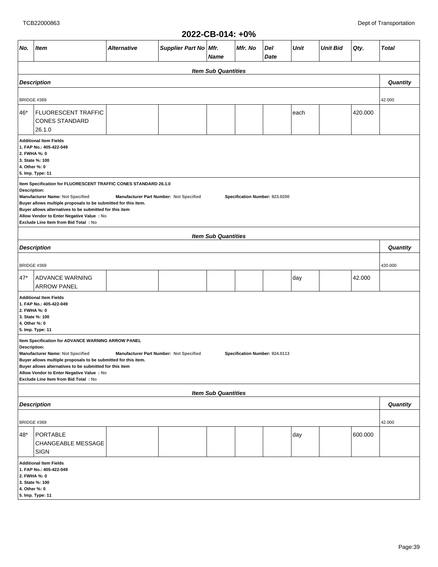#### **2022-CB-014: +0% No. Item Alternative Supplier Part No Mfr. Name Mfr. No Del Date Unit Unit Bid Qty. Total Item Sub Quantities Description Quantity** BRIDGE #369 42.000 46\* FLUORESCENT TRAFFIC CONES STANDARD 26.1.0 each  $|$  420.000 **Additional Item Fields 1. FAP No.: 405-422-049 2. FWHA %: 0 3. State %: 100 4. Other %: 0 5. Imp. Type: 11 Item Specification for FLUORESCENT TRAFFIC CONES STANDARD 26.1.0 Description: Manufacturer Name: Not Specified Manufacturer Part Number: Not Specified Specification Number: 923.0200 Buyer allows multiple proposals to be submitted for this item. Buyer allows alternatives to be submitted for this item Allow Vendor to Enter Negative Value : No Exclude Line Item from Bid Total : No Item Sub Quantities Description Quantity** BRIDGE #369 420.000 47\* ADVANCE WARNING ARROW PANEL day 42.000 **Additional Item Fields 1. FAP No.: 405-422-049 2. FWHA %: 0 3. State %: 100 4. Other %: 0 5. Imp. Type: 11 Item Specification for ADVANCE WARNING ARROW PANEL Description: Manufacturer Name: Not Specified Manufacturer Part Number: Not Specified Specification Number: 924.0113 Buyer allows multiple proposals to be submitted for this item. Buyer allows alternatives to be submitted for this item Allow Vendor to Enter Negative Value : No Exclude Line Item from Bid Total : No Item Sub Quantities Description Quantity** BRIDGE #369 42.000 48\* PORTABLE CHANGEABLE MESSAGE SIGN day | 600.000 **Additional Item Fields 1. FAP No.: 405-422-049 2. FWHA %: 0 3. State %: 100 4. Other %: 0 5. Imp. Type: 11**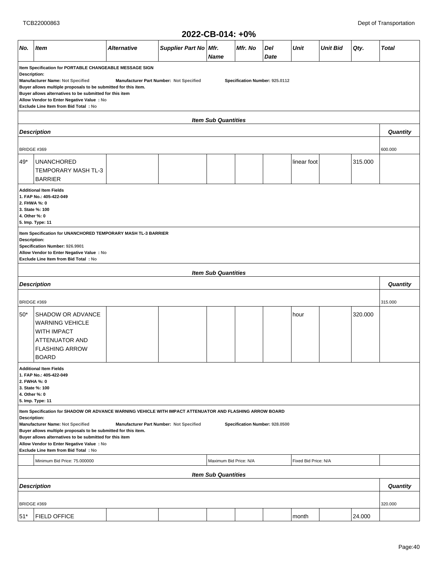|                                                                                                                                                                                                                                                                                                                                                                                                                                                                     |                                                                                                                                     |             |                         | ZUZZ-VD-VIT. TV/0 |         |             |             |                 |         |                 |  |
|---------------------------------------------------------------------------------------------------------------------------------------------------------------------------------------------------------------------------------------------------------------------------------------------------------------------------------------------------------------------------------------------------------------------------------------------------------------------|-------------------------------------------------------------------------------------------------------------------------------------|-------------|-------------------------|-------------------|---------|-------------|-------------|-----------------|---------|-----------------|--|
| No.                                                                                                                                                                                                                                                                                                                                                                                                                                                                 | <b>Item</b>                                                                                                                         | Alternative | Supplier Part No   Mfr. | <b>Name</b>       | Mfr. No | Del<br>Date | Unit        | <b>Unit Bid</b> | Qty.    | <b>Total</b>    |  |
| Item Specification for PORTABLE CHANGEABLE MESSAGE SIGN<br><b>Description:</b><br>Manufacturer Name: Not Specified<br>Manufacturer Part Number: Not Specified<br>Specification Number: 925.0112<br>Buyer allows multiple proposals to be submitted for this item.<br>Buyer allows alternatives to be submitted for this item<br>Allow Vendor to Enter Negative Value : No<br>Exclude Line Item from Bid Total : No                                                  |                                                                                                                                     |             |                         |                   |         |             |             |                 |         |                 |  |
| <b>Item Sub Quantities</b>                                                                                                                                                                                                                                                                                                                                                                                                                                          |                                                                                                                                     |             |                         |                   |         |             |             |                 |         |                 |  |
| <b>Description</b>                                                                                                                                                                                                                                                                                                                                                                                                                                                  |                                                                                                                                     |             |                         |                   |         |             |             |                 |         |                 |  |
| BRIDGE #369                                                                                                                                                                                                                                                                                                                                                                                                                                                         |                                                                                                                                     |             |                         |                   |         |             |             |                 |         |                 |  |
| 49*                                                                                                                                                                                                                                                                                                                                                                                                                                                                 | <b>UNANCHORED</b><br>TEMPORARY MASH TL-3<br><b>BARRIER</b>                                                                          |             |                         |                   |         |             | linear foot |                 | 315.000 |                 |  |
| <b>Additional Item Fields</b><br>1. FAP No.: 405-422-049<br>2. FHWA %: 0<br>3. State %: 100<br>4. Other %: 0<br>5. Imp. Type: 11                                                                                                                                                                                                                                                                                                                                    |                                                                                                                                     |             |                         |                   |         |             |             |                 |         |                 |  |
| Item Specification for UNANCHORED TEMPORARY MASH TL-3 BARRIER<br><b>Description:</b><br>Specification Number: 926.9901<br>Allow Vendor to Enter Negative Value : No<br>Exclude Line Item from Bid Total: No                                                                                                                                                                                                                                                         |                                                                                                                                     |             |                         |                   |         |             |             |                 |         |                 |  |
| <b>Item Sub Quantities</b>                                                                                                                                                                                                                                                                                                                                                                                                                                          |                                                                                                                                     |             |                         |                   |         |             |             |                 |         |                 |  |
|                                                                                                                                                                                                                                                                                                                                                                                                                                                                     | <b>Description</b>                                                                                                                  |             |                         |                   |         |             |             |                 |         | Quantity        |  |
| BRIDGE #369                                                                                                                                                                                                                                                                                                                                                                                                                                                         |                                                                                                                                     |             |                         |                   |         |             |             |                 |         | 315.000         |  |
| $50*$                                                                                                                                                                                                                                                                                                                                                                                                                                                               | SHADOW OR ADVANCE<br><b>WARNING VEHICLE</b><br><b>WITH IMPACT</b><br><b>ATTENUATOR AND</b><br><b>FLASHING ARROW</b><br><b>BOARD</b> |             |                         |                   |         |             | hour        |                 | 320.000 |                 |  |
| 2. FWHA %: 0<br>4. Other %: 0                                                                                                                                                                                                                                                                                                                                                                                                                                       | <b>Additional Item Fields</b><br>1. FAP No.: 405-422-049<br>3. State %: 100<br>5. Imp. Type: 11                                     |             |                         |                   |         |             |             |                 |         |                 |  |
| Item Specification for SHADOW OR ADVANCE WARNING VEHICLE WITH IMPACT ATTENUATOR AND FLASHING ARROW BOARD<br><b>Description:</b><br>Manufacturer Name: Not Specified<br>Manufacturer Part Number: Not Specified<br>Specification Number: 928.0500<br>Buyer allows multiple proposals to be submitted for this item.<br>Buyer allows alternatives to be submitted for this item<br>Allow Vendor to Enter Negative Value : No<br>Exclude Line Item from Bid Total : No |                                                                                                                                     |             |                         |                   |         |             |             |                 |         |                 |  |
| Minimum Bid Price: 75.000000<br>Maximum Bid Price: N/A<br>Fixed Bid Price: N/A                                                                                                                                                                                                                                                                                                                                                                                      |                                                                                                                                     |             |                         |                   |         |             |             |                 |         |                 |  |
| <b>Item Sub Quantities</b>                                                                                                                                                                                                                                                                                                                                                                                                                                          |                                                                                                                                     |             |                         |                   |         |             |             |                 |         | <b>Quantity</b> |  |
| <b>Description</b>                                                                                                                                                                                                                                                                                                                                                                                                                                                  |                                                                                                                                     |             |                         |                   |         |             |             |                 |         |                 |  |
| BRIDGE #369                                                                                                                                                                                                                                                                                                                                                                                                                                                         |                                                                                                                                     |             |                         |                   |         |             |             |                 |         | 320.000         |  |
| $51*$                                                                                                                                                                                                                                                                                                                                                                                                                                                               | <b>FIELD OFFICE</b>                                                                                                                 |             |                         |                   |         |             | month       |                 | 24.000  |                 |  |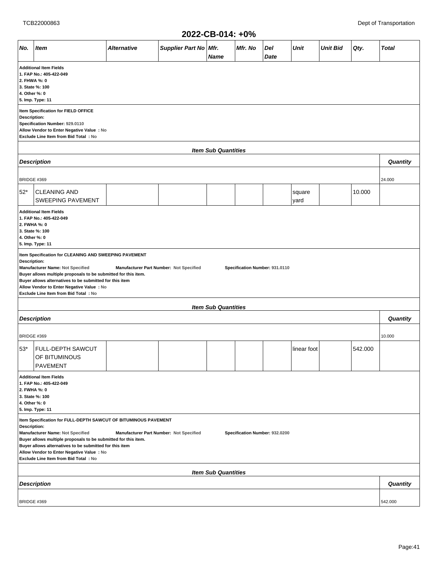|                                                                                                                                                                                                                                                                                                                                                                                                                     |                                                 |                    |                       | ZUZZ-UB-U14: +U%           |         |             |                |                 |         |              |  |
|---------------------------------------------------------------------------------------------------------------------------------------------------------------------------------------------------------------------------------------------------------------------------------------------------------------------------------------------------------------------------------------------------------------------|-------------------------------------------------|--------------------|-----------------------|----------------------------|---------|-------------|----------------|-----------------|---------|--------------|--|
| No.                                                                                                                                                                                                                                                                                                                                                                                                                 | <b>Item</b>                                     | <b>Alternative</b> | Supplier Part No Mfr. | <b>Name</b>                | Mfr. No | Del<br>Date | <b>Unit</b>    | <b>Unit Bid</b> | Qty.    | <b>Total</b> |  |
| <b>Additional Item Fields</b><br>1. FAP No.: 405-422-049<br>2. FHWA %: 0<br>3. State %: 100<br>4. Other %: 0<br>5. Imp. Type: 11                                                                                                                                                                                                                                                                                    |                                                 |                    |                       |                            |         |             |                |                 |         |              |  |
| Item Specification for FIELD OFFICE<br>Description:<br>Specification Number: 929.0110<br>Allow Vendor to Enter Negative Value : No<br>Exclude Line Item from Bid Total : No                                                                                                                                                                                                                                         |                                                 |                    |                       |                            |         |             |                |                 |         |              |  |
| <b>Item Sub Quantities</b>                                                                                                                                                                                                                                                                                                                                                                                          |                                                 |                    |                       |                            |         |             |                |                 |         |              |  |
|                                                                                                                                                                                                                                                                                                                                                                                                                     | <b>Description</b>                              |                    |                       |                            |         |             |                |                 |         | Quantity     |  |
| BRIDGE #369                                                                                                                                                                                                                                                                                                                                                                                                         |                                                 |                    |                       |                            |         |             |                |                 |         | 24.000       |  |
| $52*$                                                                                                                                                                                                                                                                                                                                                                                                               | <b>CLEANING AND</b><br><b>SWEEPING PAVEMENT</b> |                    |                       |                            |         |             | square<br>yard |                 | 10.000  |              |  |
| <b>Additional Item Fields</b><br>1. FAP No.: 405-422-049<br>2. FWHA %: 0<br>3. State %: 100<br>4. Other %: 0<br>5. Imp. Type: 11                                                                                                                                                                                                                                                                                    |                                                 |                    |                       |                            |         |             |                |                 |         |              |  |
| Item Specification for CLEANING AND SWEEPING PAVEMENT<br>Description:<br>Manufacturer Name: Not Specified<br>Manufacturer Part Number: Not Specified<br>Specification Number: 931.0110<br>Buyer allows multiple proposals to be submitted for this item.<br>Buyer allows alternatives to be submitted for this item<br>Allow Vendor to Enter Negative Value : No<br>Exclude Line Item from Bid Total : No           |                                                 |                    |                       |                            |         |             |                |                 |         |              |  |
|                                                                                                                                                                                                                                                                                                                                                                                                                     |                                                 |                    |                       | <b>Item Sub Quantities</b> |         |             |                |                 |         |              |  |
|                                                                                                                                                                                                                                                                                                                                                                                                                     | <b>Description</b>                              |                    |                       |                            |         |             |                |                 |         | Quantity     |  |
| BRIDGE #369                                                                                                                                                                                                                                                                                                                                                                                                         |                                                 |                    |                       |                            |         |             |                |                 |         | 10.000       |  |
| $53*$                                                                                                                                                                                                                                                                                                                                                                                                               | FULL-DEPTH SAWCUT<br>OF BITUMINOUS<br>PAVEMENT  |                    |                       |                            |         |             | linear foot    |                 | 542.000 |              |  |
| <b>Additional Item Fields</b><br>1. FAP No.: 405-422-049<br>2. FWHA %: 0<br>3. State %: 100<br>4. Other %: 0<br>5. Imp. Type: 11                                                                                                                                                                                                                                                                                    |                                                 |                    |                       |                            |         |             |                |                 |         |              |  |
| Item Specification for FULL-DEPTH SAWCUT OF BITUMINOUS PAVEMENT<br>Description:<br>Manufacturer Name: Not Specified<br>Manufacturer Part Number: Not Specified<br>Specification Number: 932.0200<br>Buyer allows multiple proposals to be submitted for this item.<br>Buyer allows alternatives to be submitted for this item<br>Allow Vendor to Enter Negative Value : No<br>Exclude Line Item from Bid Total : No |                                                 |                    |                       |                            |         |             |                |                 |         |              |  |
| <b>Item Sub Quantities</b>                                                                                                                                                                                                                                                                                                                                                                                          |                                                 |                    |                       |                            |         |             |                |                 |         |              |  |
|                                                                                                                                                                                                                                                                                                                                                                                                                     | <b>Description</b>                              |                    |                       |                            |         |             |                |                 |         | Quantity     |  |
| <b>BRIDGE #369</b>                                                                                                                                                                                                                                                                                                                                                                                                  |                                                 |                    |                       |                            |         |             |                |                 |         | 542.000      |  |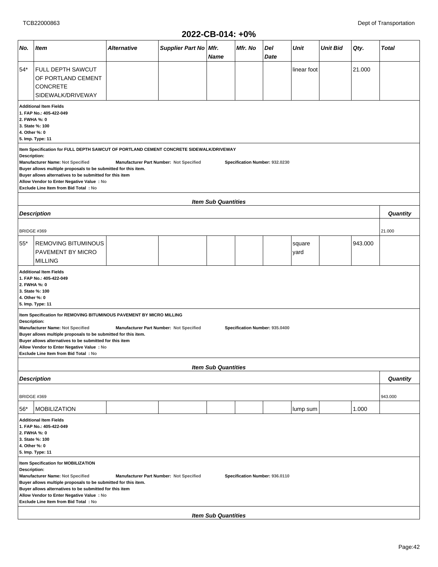|                                                                                                       |                                                                                                                                                                                                                                                                                                                                                                                                                                                  |                                         |                  | ZUZZ-VD-VIT. TV /0         |                                |             |             |                 |        |              |  |  |
|-------------------------------------------------------------------------------------------------------|--------------------------------------------------------------------------------------------------------------------------------------------------------------------------------------------------------------------------------------------------------------------------------------------------------------------------------------------------------------------------------------------------------------------------------------------------|-----------------------------------------|------------------|----------------------------|--------------------------------|-------------|-------------|-----------------|--------|--------------|--|--|
| No.                                                                                                   | Item                                                                                                                                                                                                                                                                                                                                                                                                                                             | Alternative                             | Supplier Part No | Mfr.<br><b>Name</b>        | Mfr. No                        | Del<br>Date | Unit        | <b>Unit Bid</b> | Qty.   | <b>Total</b> |  |  |
| 54*                                                                                                   | <b>FULL DEPTH SAWCUT</b><br>OF PORTLAND CEMENT<br><b>CONCRETE</b><br>SIDEWALK/DRIVEWAY                                                                                                                                                                                                                                                                                                                                                           |                                         |                  |                            |                                |             | linear foot |                 | 21.000 |              |  |  |
|                                                                                                       | <b>Additional Item Fields</b><br>1. FAP No.: 405-422-049<br>2. FWHA %: 0<br>3. State %: 100<br>4. Other %: 0<br>5. Imp. Type: 11                                                                                                                                                                                                                                                                                                                 |                                         |                  |                            |                                |             |             |                 |        |              |  |  |
|                                                                                                       | Item Specification for FULL DEPTH SAWCUT OF PORTLAND CEMENT CONCRETE SIDEWALK/DRIVEWAY<br><b>Description:</b><br>Manufacturer Name: Not Specified<br>Manufacturer Part Number: Not Specified<br>Specification Number: 932.0230<br>Buyer allows multiple proposals to be submitted for this item.<br>Buyer allows alternatives to be submitted for this item<br>Allow Vendor to Enter Negative Value : No<br>Exclude Line Item from Bid Total: No |                                         |                  |                            |                                |             |             |                 |        |              |  |  |
| <b>Item Sub Quantities</b>                                                                            |                                                                                                                                                                                                                                                                                                                                                                                                                                                  |                                         |                  |                            |                                |             |             |                 |        |              |  |  |
| <b>Description</b>                                                                                    |                                                                                                                                                                                                                                                                                                                                                                                                                                                  |                                         |                  |                            |                                |             |             |                 |        | Quantity     |  |  |
| BRIDGE #369                                                                                           |                                                                                                                                                                                                                                                                                                                                                                                                                                                  |                                         |                  |                            |                                |             |             |                 |        | 21.000       |  |  |
| 55*<br><b>REMOVING BITUMINOUS</b><br>943.000<br>square<br>PAVEMENT BY MICRO<br>yard<br><b>MILLING</b> |                                                                                                                                                                                                                                                                                                                                                                                                                                                  |                                         |                  |                            |                                |             |             |                 |        |              |  |  |
|                                                                                                       | <b>Additional Item Fields</b><br>1. FAP No.: 405-422-049<br>2. FWHA %: 0<br>3. State %: 100<br>4. Other %: 0<br>5. Imp. Type: 11                                                                                                                                                                                                                                                                                                                 |                                         |                  |                            |                                |             |             |                 |        |              |  |  |
| Description:                                                                                          | Item Specification for REMOVING BITUMINOUS PAVEMENT BY MICRO MILLING<br>Manufacturer Name: Not Specified<br>Buyer allows multiple proposals to be submitted for this item.<br>Buyer allows alternatives to be submitted for this item<br>Allow Vendor to Enter Negative Value : No<br>Exclude Line Item from Bid Total: No                                                                                                                       | Manufacturer Part Number: Not Specified |                  |                            | Specification Number: 935.0400 |             |             |                 |        |              |  |  |
|                                                                                                       |                                                                                                                                                                                                                                                                                                                                                                                                                                                  |                                         |                  | <b>Item Sub Quantities</b> |                                |             |             |                 |        |              |  |  |
|                                                                                                       | <b>Description</b>                                                                                                                                                                                                                                                                                                                                                                                                                               |                                         |                  |                            |                                |             |             |                 |        | Quantity     |  |  |
| BRIDGE #369                                                                                           |                                                                                                                                                                                                                                                                                                                                                                                                                                                  |                                         |                  |                            |                                |             |             |                 |        | 943.000      |  |  |
| $56*$                                                                                                 | <b>MOBILIZATION</b>                                                                                                                                                                                                                                                                                                                                                                                                                              |                                         |                  |                            |                                |             | lump sum    |                 | 1.000  |              |  |  |
|                                                                                                       | <b>Additional Item Fields</b><br>1. FAP No.: 405-422-049<br>2. FWHA %: 0<br>3. State %: 100<br>4. Other %: 0<br>5. Imp. Type: 11                                                                                                                                                                                                                                                                                                                 |                                         |                  |                            |                                |             |             |                 |        |              |  |  |
|                                                                                                       | Item Specification for MOBILIZATION<br><b>Description:</b><br>Manufacturer Name: Not Specified<br>Manufacturer Part Number: Not Specified<br>Specification Number: 936.0110<br>Buyer allows multiple proposals to be submitted for this item.<br>Buyer allows alternatives to be submitted for this item<br>Allow Vendor to Enter Negative Value : No<br>Exclude Line Item from Bid Total : No<br><b>Item Sub Quantities</b>                     |                                         |                  |                            |                                |             |             |                 |        |              |  |  |
|                                                                                                       |                                                                                                                                                                                                                                                                                                                                                                                                                                                  |                                         |                  |                            |                                |             |             |                 |        |              |  |  |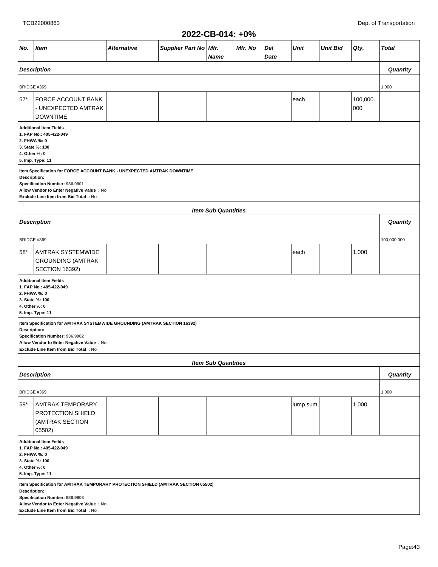|                                                                                                                                                                                                                         |                                                                                                                                                                                                  |                    |                       |                            | . <i>.</i> . |             |             |                 |                 |              |  |
|-------------------------------------------------------------------------------------------------------------------------------------------------------------------------------------------------------------------------|--------------------------------------------------------------------------------------------------------------------------------------------------------------------------------------------------|--------------------|-----------------------|----------------------------|--------------|-------------|-------------|-----------------|-----------------|--------------|--|
| No.                                                                                                                                                                                                                     | <b>Item</b>                                                                                                                                                                                      | <b>Alternative</b> | Supplier Part No Mfr. | Name                       | Mfr. No      | Del<br>Date | <b>Unit</b> | <b>Unit Bid</b> | Qty.            | <b>Total</b> |  |
|                                                                                                                                                                                                                         | <b>Description</b>                                                                                                                                                                               |                    |                       |                            |              |             |             |                 |                 | Quantity     |  |
|                                                                                                                                                                                                                         |                                                                                                                                                                                                  |                    |                       |                            |              |             |             |                 |                 |              |  |
| BRIDGE #369                                                                                                                                                                                                             |                                                                                                                                                                                                  |                    |                       |                            |              |             |             |                 |                 | 1.000        |  |
| $57*$                                                                                                                                                                                                                   | <b>FORCE ACCOUNT BANK</b><br>- UNEXPECTED AMTRAK<br><b>DOWNTIME</b>                                                                                                                              |                    |                       |                            |              |             | each        |                 | 100,000.<br>000 |              |  |
| <b>Additional Item Fields</b><br>1. FAP No.: 405-422-049<br>2. FHWA %: 0<br>3. State %: 100<br>4. Other %: 0<br>5. Imp. Type: 11                                                                                        |                                                                                                                                                                                                  |                    |                       |                            |              |             |             |                 |                 |              |  |
| Item Specification for FORCE ACCOUNT BANK - UNEXPECTED AMTRAK DOWNTIME<br>Description:<br>Specification Number: 936.9901<br>Allow Vendor to Enter Negative Value : No<br>Exclude Line Item from Bid Total: No           |                                                                                                                                                                                                  |                    |                       |                            |              |             |             |                 |                 |              |  |
|                                                                                                                                                                                                                         | <b>Item Sub Quantities</b>                                                                                                                                                                       |                    |                       |                            |              |             |             |                 |                 |              |  |
|                                                                                                                                                                                                                         | <b>Description</b>                                                                                                                                                                               |                    |                       |                            |              |             |             |                 |                 | Quantity     |  |
| BRIDGE #369                                                                                                                                                                                                             |                                                                                                                                                                                                  |                    |                       |                            |              |             |             |                 |                 | 100,000.000  |  |
| 58*                                                                                                                                                                                                                     | <b>AMTRAK SYSTEMWIDE</b><br><b>GROUNDING (AMTRAK</b><br><b>SECTION 16392)</b>                                                                                                                    |                    |                       |                            |              |             | each        |                 | 1.000           |              |  |
| 2. FHWA %: 0<br>4. Other %: 0                                                                                                                                                                                           | <b>Additional Item Fields</b><br>1. FAP No.: 405-422-049<br>3. State %: 100<br>5. Imp. Type: 11                                                                                                  |                    |                       |                            |              |             |             |                 |                 |              |  |
| Description:                                                                                                                                                                                                            | Item Specification for AMTRAK SYSTEMWIDE GROUNDING (AMTRAK SECTION 16392)<br>Specification Number: 936.9902<br>Allow Vendor to Enter Negative Value : No<br>Exclude Line Item from Bid Total: No |                    |                       |                            |              |             |             |                 |                 |              |  |
|                                                                                                                                                                                                                         |                                                                                                                                                                                                  |                    |                       | <b>Item Sub Quantities</b> |              |             |             |                 |                 |              |  |
|                                                                                                                                                                                                                         | <b>Description</b>                                                                                                                                                                               |                    |                       |                            |              |             |             |                 |                 | Quantity     |  |
| BRIDGE #369                                                                                                                                                                                                             |                                                                                                                                                                                                  |                    |                       |                            |              |             |             |                 |                 | 1.000        |  |
| $59*$                                                                                                                                                                                                                   | <b>AMTRAK TEMPORARY</b><br><b>PROTECTION SHIELD</b><br>(AMTRAK SECTION<br>05502)                                                                                                                 |                    |                       |                            |              |             | lump sum    |                 | 1.000           |              |  |
| <b>Additional Item Fields</b><br>1. FAP No.: 405-422-049<br>2. FHWA %: 0<br>3. State %: 100<br>4. Other %: 0<br>5. Imp. Type: 11                                                                                        |                                                                                                                                                                                                  |                    |                       |                            |              |             |             |                 |                 |              |  |
| Item Specification for AMTRAK TEMPORARY PROTECTION SHIELD (AMTRAK SECTION 05502)<br>Description:<br>Specification Number: 936.9903<br>Allow Vendor to Enter Negative Value : No<br>Exclude Line Item from Bid Total: No |                                                                                                                                                                                                  |                    |                       |                            |              |             |             |                 |                 |              |  |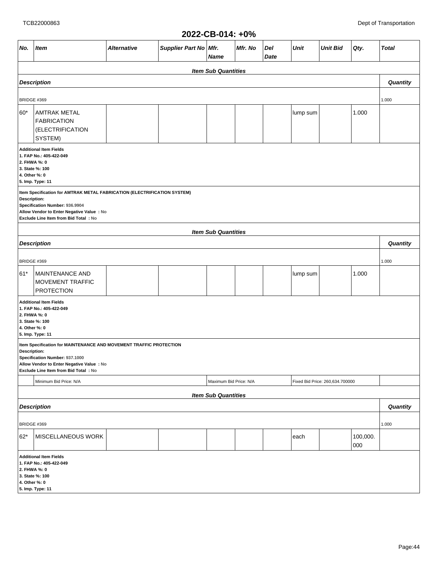#### **2022-CB-014: +0% No. Item Alternative Supplier Part No Mfr. Name Mfr. No Del Date Unit Unit Bid Qty. Total Item Sub Quantities Description Quantity** BRIDGE #369 1.000 60\* AMTRAK METAL FABRICATION (ELECTRIFICATION SYSTEM)  $\vert$  lump sum  $\vert$  1.000 **Additional Item Fields 1. FAP No.: 405-422-049 2. FHWA %: 0 3. State %: 100 4. Other %: 0 5. Imp. Type: 11 Item Specification for AMTRAK METAL FABRICATION (ELECTRIFICATION SYSTEM) Description: Specification Number: 936.9904 Allow Vendor to Enter Negative Value : No Exclude Line Item from Bid Total : No Item Sub Quantities Description Quantity** BRIDGE #369 1.000 61\* MAINTENANCE AND MOVEMENT TRAFFIC PROTECTION  $\lvert \text{lump sum} \rvert$  1.000 **Additional Item Fields 1. FAP No.: 405-422-049 2. FHWA %: 0 3. State %: 100 4. Other %: 0 5. Imp. Type: 11 Item Specification for MAINTENANCE AND MOVEMENT TRAFFIC PROTECTION Description: Specification Number: 937.1000 Allow Vendor to Enter Negative Value : No Exclude Line Item from Bid Total : No** Minimum Bid Price: N/A Fixed Bid Price: N/A Fixed Bid Price: N/A Fixed Bid Price: 260,634.700000 **Item Sub Quantities Description Quantity** BRIDGE #369 1.000 62\* MISCELLANEOUS WORK each 100,000. 000 **Additional Item Fields 1. FAP No.: 405-422-049 2. FHWA %: 0 3. State %: 100 4. Other %: 0 5. Imp. Type: 11**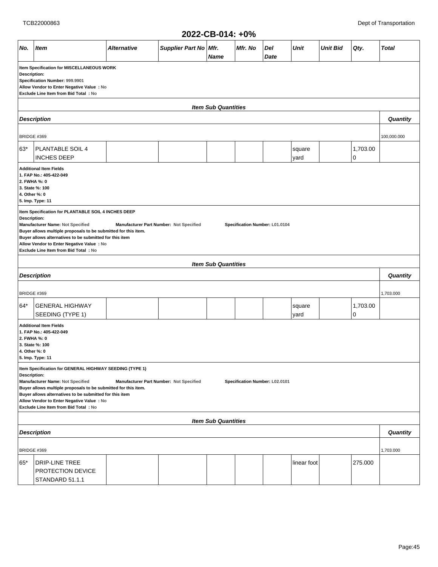|                                                                                                                                                                                                                                                                                                                                                                                                             | 2022-CB-014: +0%                                                                                                                 |                    |                         |             |         |             |                |                 |               |                 |  |  |  |
|-------------------------------------------------------------------------------------------------------------------------------------------------------------------------------------------------------------------------------------------------------------------------------------------------------------------------------------------------------------------------------------------------------------|----------------------------------------------------------------------------------------------------------------------------------|--------------------|-------------------------|-------------|---------|-------------|----------------|-----------------|---------------|-----------------|--|--|--|
| No.                                                                                                                                                                                                                                                                                                                                                                                                         | <b>Item</b>                                                                                                                      | <b>Alternative</b> | Supplier Part No   Mfr. | <b>Name</b> | Mfr. No | Del<br>Date | <b>Unit</b>    | <b>Unit Bid</b> | Qty.          | <b>Total</b>    |  |  |  |
| Item Specification for MISCELLANEOUS WORK<br>Description:<br>Specification Number: 999.9901<br>Allow Vendor to Enter Negative Value : No<br>Exclude Line Item from Bid Total: No                                                                                                                                                                                                                            |                                                                                                                                  |                    |                         |             |         |             |                |                 |               |                 |  |  |  |
| <b>Item Sub Quantities</b>                                                                                                                                                                                                                                                                                                                                                                                  |                                                                                                                                  |                    |                         |             |         |             |                |                 |               |                 |  |  |  |
|                                                                                                                                                                                                                                                                                                                                                                                                             | <b>Description</b>                                                                                                               |                    |                         |             |         |             |                |                 |               | Quantity        |  |  |  |
|                                                                                                                                                                                                                                                                                                                                                                                                             | BRIDGE #369                                                                                                                      |                    |                         |             |         |             |                |                 |               | 100,000.000     |  |  |  |
| $63*$                                                                                                                                                                                                                                                                                                                                                                                                       | PLANTABLE SOIL 4<br><b>INCHES DEEP</b>                                                                                           |                    |                         |             |         |             | square<br>yard |                 | 1,703.00<br>0 |                 |  |  |  |
| <b>Additional Item Fields</b><br>1. FAP No.: 405-422-049<br>2. FWHA %: 0<br>3. State %: 100<br>4. Other %: 0<br>5. Imp. Type: 11                                                                                                                                                                                                                                                                            |                                                                                                                                  |                    |                         |             |         |             |                |                 |               |                 |  |  |  |
| Item Specification for PLANTABLE SOIL 4 INCHES DEEP<br>Description:<br>Manufacturer Name: Not Specified<br>Manufacturer Part Number: Not Specified<br>Specification Number: L01.0104<br>Buyer allows multiple proposals to be submitted for this item.<br>Buyer allows alternatives to be submitted for this item<br>Allow Vendor to Enter Negative Value : No<br>Exclude Line Item from Bid Total: No      |                                                                                                                                  |                    |                         |             |         |             |                |                 |               |                 |  |  |  |
| <b>Item Sub Quantities</b>                                                                                                                                                                                                                                                                                                                                                                                  |                                                                                                                                  |                    |                         |             |         |             |                |                 |               |                 |  |  |  |
|                                                                                                                                                                                                                                                                                                                                                                                                             | <b>Description</b>                                                                                                               |                    |                         |             |         |             |                |                 |               | <b>Quantity</b> |  |  |  |
|                                                                                                                                                                                                                                                                                                                                                                                                             | BRIDGE #369                                                                                                                      |                    |                         |             |         |             |                |                 |               | 1,703.000       |  |  |  |
| 64*                                                                                                                                                                                                                                                                                                                                                                                                         | <b>GENERAL HIGHWAY</b><br>SEEDING (TYPE 1)                                                                                       |                    |                         |             |         |             | square<br>yard |                 | 1,703.00<br>0 |                 |  |  |  |
|                                                                                                                                                                                                                                                                                                                                                                                                             | <b>Additional Item Fields</b><br>1. FAP No.: 405-422-049<br>2. FWHA %: 0<br>3. State %: 100<br>4. Other %: 0<br>5. Imp. Type: 11 |                    |                         |             |         |             |                |                 |               |                 |  |  |  |
| Item Specification for GENERAL HIGHWAY SEEDING (TYPE 1)<br>Description:<br>Manufacturer Name: Not Specified<br>Manufacturer Part Number: Not Specified<br>Specification Number: L02.0101<br>Buyer allows multiple proposals to be submitted for this item.<br>Buyer allows alternatives to be submitted for this item<br>Allow Vendor to Enter Negative Value : No<br>Exclude Line Item from Bid Total : No |                                                                                                                                  |                    |                         |             |         |             |                |                 |               |                 |  |  |  |
| <b>Item Sub Quantities</b>                                                                                                                                                                                                                                                                                                                                                                                  |                                                                                                                                  |                    |                         |             |         |             |                |                 |               |                 |  |  |  |
| <b>Description</b>                                                                                                                                                                                                                                                                                                                                                                                          |                                                                                                                                  |                    |                         |             |         |             |                |                 | Quantity      |                 |  |  |  |
| BRIDGE #369                                                                                                                                                                                                                                                                                                                                                                                                 |                                                                                                                                  |                    |                         |             |         |             |                |                 | 1,703.000     |                 |  |  |  |
| $65*$                                                                                                                                                                                                                                                                                                                                                                                                       | <b>DRIP-LINE TREE</b><br>PROTECTION DEVICE<br>STANDARD 51.1.1                                                                    |                    |                         |             |         |             | linear foot    |                 | 275.000       |                 |  |  |  |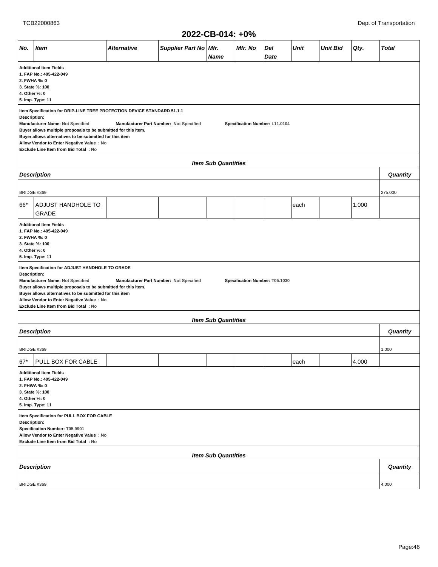|                                                                                                                                                                                                                                                                                                                                                                                                                            | ZUZZ-UD-UT4: +U%                                                                                                                                                                                                                                                                                      |             |                                         |                            |         |                                |      |                 |       |              |  |  |
|----------------------------------------------------------------------------------------------------------------------------------------------------------------------------------------------------------------------------------------------------------------------------------------------------------------------------------------------------------------------------------------------------------------------------|-------------------------------------------------------------------------------------------------------------------------------------------------------------------------------------------------------------------------------------------------------------------------------------------------------|-------------|-----------------------------------------|----------------------------|---------|--------------------------------|------|-----------------|-------|--------------|--|--|
| No.                                                                                                                                                                                                                                                                                                                                                                                                                        | <b>Item</b>                                                                                                                                                                                                                                                                                           | Alternative | Supplier Part No   Mfr.                 | <b>Name</b>                | Mfr. No | Del<br>Date                    | Unit | <b>Unit Bid</b> | Qty.  | <b>Total</b> |  |  |
| <b>Additional Item Fields</b><br>1. FAP No.: 405-422-049<br>2. FWHA %: 0<br>3. State %: 100<br>4. Other %: 0<br>5. Imp. Type: 11                                                                                                                                                                                                                                                                                           |                                                                                                                                                                                                                                                                                                       |             |                                         |                            |         |                                |      |                 |       |              |  |  |
| Item Specification for DRIP-LINE TREE PROTECTION DEVICE STANDARD 51.1.1<br>Description:<br>Manufacturer Name: Not Specified<br>Manufacturer Part Number: Not Specified<br>Specification Number: L11.0104<br>Buyer allows multiple proposals to be submitted for this item.<br>Buyer allows alternatives to be submitted for this item<br>Allow Vendor to Enter Negative Value : No<br>Exclude Line Item from Bid Total: No |                                                                                                                                                                                                                                                                                                       |             |                                         |                            |         |                                |      |                 |       |              |  |  |
| <b>Item Sub Quantities</b>                                                                                                                                                                                                                                                                                                                                                                                                 |                                                                                                                                                                                                                                                                                                       |             |                                         |                            |         |                                |      |                 |       |              |  |  |
|                                                                                                                                                                                                                                                                                                                                                                                                                            | <b>Description</b>                                                                                                                                                                                                                                                                                    |             |                                         |                            |         |                                |      |                 |       | Quantity     |  |  |
| BRIDGE #369                                                                                                                                                                                                                                                                                                                                                                                                                |                                                                                                                                                                                                                                                                                                       |             |                                         |                            |         |                                |      |                 |       | 275.000      |  |  |
| 66*                                                                                                                                                                                                                                                                                                                                                                                                                        | ADJUST HANDHOLE TO<br><b>GRADE</b>                                                                                                                                                                                                                                                                    |             |                                         |                            |         |                                | each |                 | 1.000 |              |  |  |
| <b>Additional Item Fields</b><br>1. FAP No.: 405-422-049<br>2. FWHA %: 0<br>3. State %: 100<br>4. Other %: 0<br>5. Imp. Type: 11                                                                                                                                                                                                                                                                                           |                                                                                                                                                                                                                                                                                                       |             |                                         |                            |         |                                |      |                 |       |              |  |  |
| Description:                                                                                                                                                                                                                                                                                                                                                                                                               | Item Specification for ADJUST HANDHOLE TO GRADE<br>Manufacturer Name: Not Specified<br>Buyer allows multiple proposals to be submitted for this item.<br>Buyer allows alternatives to be submitted for this item<br>Allow Vendor to Enter Negative Value : No<br>Exclude Line Item from Bid Total: No |             | Manufacturer Part Number: Not Specified |                            |         | Specification Number: T05.1030 |      |                 |       |              |  |  |
|                                                                                                                                                                                                                                                                                                                                                                                                                            |                                                                                                                                                                                                                                                                                                       |             |                                         | <b>Item Sub Quantities</b> |         |                                |      |                 |       |              |  |  |
|                                                                                                                                                                                                                                                                                                                                                                                                                            | <b>Description</b>                                                                                                                                                                                                                                                                                    |             |                                         |                            |         |                                |      |                 |       | Quantity     |  |  |
| BRIDGE #369                                                                                                                                                                                                                                                                                                                                                                                                                |                                                                                                                                                                                                                                                                                                       |             |                                         |                            |         |                                |      |                 |       | 1.000        |  |  |
| 67*                                                                                                                                                                                                                                                                                                                                                                                                                        | PULL BOX FOR CABLE                                                                                                                                                                                                                                                                                    |             |                                         |                            |         |                                | each |                 | 4.000 |              |  |  |
| <b>Additional Item Fields</b><br>1. FAP No.: 405-422-049<br>2. FHWA %: 0<br>3. State %: 100<br>4. Other %: 0<br>5. Imp. Type: 11                                                                                                                                                                                                                                                                                           |                                                                                                                                                                                                                                                                                                       |             |                                         |                            |         |                                |      |                 |       |              |  |  |
| Item Specification for PULL BOX FOR CABLE<br>Description:<br>Specification Number: T05.9901<br>Allow Vendor to Enter Negative Value : No<br>Exclude Line Item from Bid Total: No                                                                                                                                                                                                                                           |                                                                                                                                                                                                                                                                                                       |             |                                         |                            |         |                                |      |                 |       |              |  |  |
| <b>Item Sub Quantities</b>                                                                                                                                                                                                                                                                                                                                                                                                 |                                                                                                                                                                                                                                                                                                       |             |                                         |                            |         |                                |      |                 |       |              |  |  |
| <b>Description</b>                                                                                                                                                                                                                                                                                                                                                                                                         |                                                                                                                                                                                                                                                                                                       |             |                                         |                            |         |                                |      |                 |       | Quantity     |  |  |
| BRIDGE #369                                                                                                                                                                                                                                                                                                                                                                                                                |                                                                                                                                                                                                                                                                                                       |             |                                         |                            |         |                                |      |                 |       | 4.000        |  |  |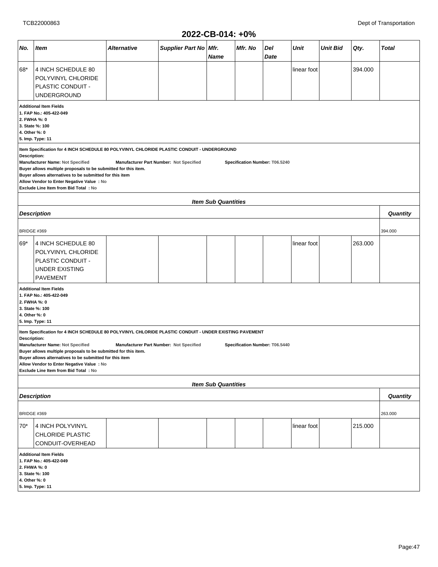|                                                                                                                                  |                                                                                                                                                                                                                                                                                                                                                                                                                                               |                           | ∸∪∸∸                                    | "ט ד. דע-שע                |                                |             |             |                 |         |              |  |
|----------------------------------------------------------------------------------------------------------------------------------|-----------------------------------------------------------------------------------------------------------------------------------------------------------------------------------------------------------------------------------------------------------------------------------------------------------------------------------------------------------------------------------------------------------------------------------------------|---------------------------|-----------------------------------------|----------------------------|--------------------------------|-------------|-------------|-----------------|---------|--------------|--|
| No.                                                                                                                              | <b>Item</b>                                                                                                                                                                                                                                                                                                                                                                                                                                   | <i><b>Alternative</b></i> | Supplier Part No Mfr.                   | <b>Name</b>                | Mfr. No                        | Del<br>Date | <b>Unit</b> | <b>Unit Bid</b> | Qty.    | <b>Total</b> |  |
| 68*                                                                                                                              | 4 INCH SCHEDULE 80<br>POLYVINYL CHLORIDE<br>PLASTIC CONDUIT -<br>UNDERGROUND                                                                                                                                                                                                                                                                                                                                                                  |                           |                                         |                            |                                |             | linear foot |                 | 394.000 |              |  |
| <b>Additional Item Fields</b><br>1. FAP No.: 405-422-049<br>2. FWHA %: 0<br>3. State %: 100<br>4. Other %: 0<br>5. Imp. Type: 11 |                                                                                                                                                                                                                                                                                                                                                                                                                                               |                           |                                         |                            |                                |             |             |                 |         |              |  |
|                                                                                                                                  | Item Specification for 4 INCH SCHEDULE 80 POLYVINYL CHLORIDE PLASTIC CONDUIT - UNDERGROUND<br>Description:<br>Manufacturer Name: Not Specified<br>Manufacturer Part Number: Not Specified<br>Specification Number: T06.5240<br>Buyer allows multiple proposals to be submitted for this item.<br>Buyer allows alternatives to be submitted for this item<br>Allow Vendor to Enter Negative Value : No<br>Exclude Line Item from Bid Total: No |                           |                                         |                            |                                |             |             |                 |         |              |  |
|                                                                                                                                  |                                                                                                                                                                                                                                                                                                                                                                                                                                               |                           |                                         | <b>Item Sub Quantities</b> |                                |             |             |                 |         |              |  |
|                                                                                                                                  | <b>Description</b>                                                                                                                                                                                                                                                                                                                                                                                                                            |                           |                                         |                            |                                |             |             |                 |         | Quantity     |  |
| BRIDGE #369                                                                                                                      |                                                                                                                                                                                                                                                                                                                                                                                                                                               |                           |                                         |                            |                                |             |             |                 |         | 394.000      |  |
| 69*                                                                                                                              | 4 INCH SCHEDULE 80<br>POLYVINYL CHLORIDE<br>PLASTIC CONDUIT -<br><b>UNDER EXISTING</b><br><b>PAVEMENT</b>                                                                                                                                                                                                                                                                                                                                     |                           |                                         |                            |                                |             | linear foot |                 | 263.000 |              |  |
| 2. FWHA %: 0<br>4. Other %: 0                                                                                                    | <b>Additional Item Fields</b><br>1. FAP No.: 405-422-049<br>3. State %: 100<br>5. Imp. Type: 11                                                                                                                                                                                                                                                                                                                                               |                           |                                         |                            |                                |             |             |                 |         |              |  |
| Description:                                                                                                                     | Item Specification for 4 INCH SCHEDULE 80 POLYVINYL CHLORIDE PLASTIC CONDUIT - UNDER EXISTING PAVEMENT<br>Manufacturer Name: Not Specified<br>Buyer allows multiple proposals to be submitted for this item.<br>Buyer allows alternatives to be submitted for this item<br>Allow Vendor to Enter Negative Value : No<br>Exclude Line Item from Bid Total : No                                                                                 |                           | Manufacturer Part Number: Not Specified |                            | Specification Number: T06.5440 |             |             |                 |         |              |  |
|                                                                                                                                  |                                                                                                                                                                                                                                                                                                                                                                                                                                               |                           |                                         | <b>Item Sub Quantities</b> |                                |             |             |                 |         |              |  |
|                                                                                                                                  | <b>Description</b>                                                                                                                                                                                                                                                                                                                                                                                                                            |                           |                                         |                            |                                |             |             |                 |         | Quantity     |  |
| BRIDGE #369                                                                                                                      |                                                                                                                                                                                                                                                                                                                                                                                                                                               |                           |                                         |                            |                                |             |             |                 |         | 263.000      |  |
| 215.000<br>70*<br>4 INCH POLYVINYL<br>linear foot<br><b>CHLORIDE PLASTIC</b><br>CONDUIT-OVERHEAD                                 |                                                                                                                                                                                                                                                                                                                                                                                                                                               |                           |                                         |                            |                                |             |             |                 |         |              |  |
| <b>Additional Item Fields</b><br>1. FAP No.: 405-422-049<br>2. FHWA %: 0<br>3. State %: 100<br>4. Other %: 0<br>5. Imp. Type: 11 |                                                                                                                                                                                                                                                                                                                                                                                                                                               |                           |                                         |                            |                                |             |             |                 |         |              |  |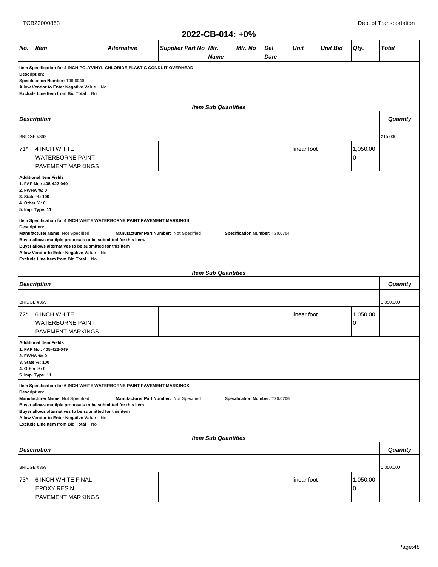|                                                                                                                                                                                                                                                                                                                                                                                                                                                                                                                                                                      | 2022-CB-014: +0%                                                                                                |             |                       |             |         |             |             |                 |               |              |  |  |  |
|----------------------------------------------------------------------------------------------------------------------------------------------------------------------------------------------------------------------------------------------------------------------------------------------------------------------------------------------------------------------------------------------------------------------------------------------------------------------------------------------------------------------------------------------------------------------|-----------------------------------------------------------------------------------------------------------------|-------------|-----------------------|-------------|---------|-------------|-------------|-----------------|---------------|--------------|--|--|--|
| No.                                                                                                                                                                                                                                                                                                                                                                                                                                                                                                                                                                  | <b>Item</b>                                                                                                     | Alternative | Supplier Part No Mfr. | <b>Name</b> | Mfr. No | Del<br>Date | <b>Unit</b> | <b>Unit Bid</b> | Qty.          | <b>Total</b> |  |  |  |
| Item Specification for 4 INCH POLYVINYL CHLORIDE PLASTIC CONDUIT-OVERHEAD<br>Description:<br>Specification Number: T06.6040<br>Allow Vendor to Enter Negative Value : No<br>Exclude Line Item from Bid Total: No                                                                                                                                                                                                                                                                                                                                                     |                                                                                                                 |             |                       |             |         |             |             |                 |               |              |  |  |  |
| <b>Item Sub Quantities</b>                                                                                                                                                                                                                                                                                                                                                                                                                                                                                                                                           |                                                                                                                 |             |                       |             |         |             |             |                 |               |              |  |  |  |
| <b>Description</b>                                                                                                                                                                                                                                                                                                                                                                                                                                                                                                                                                   |                                                                                                                 |             |                       |             |         |             |             |                 |               |              |  |  |  |
| BRIDGE #369                                                                                                                                                                                                                                                                                                                                                                                                                                                                                                                                                          |                                                                                                                 |             |                       |             |         |             |             |                 |               | 215.000      |  |  |  |
| $71*$                                                                                                                                                                                                                                                                                                                                                                                                                                                                                                                                                                | 4 INCH WHITE<br>linear foot<br>1,050.00<br><b>WATERBORNE PAINT</b><br>0<br>PAVEMENT MARKINGS                    |             |                       |             |         |             |             |                 |               |              |  |  |  |
| <b>Additional Item Fields</b><br>1. FAP No.: 405-422-049<br>2. FWHA %: 0<br>3. State %: 100<br>4. Other %: 0<br>5. Imp. Type: 11<br>Item Specification for 4 INCH WHITE WATERBORNE PAINT PAVEMENT MARKINGS<br><b>Description:</b><br>Manufacturer Name: Not Specified<br>Manufacturer Part Number: Not Specified<br>Specification Number: T20.0704<br>Buyer allows multiple proposals to be submitted for this item.<br>Buyer allows alternatives to be submitted for this item<br>Allow Vendor to Enter Negative Value : No<br>Exclude Line Item from Bid Total: No |                                                                                                                 |             |                       |             |         |             |             |                 |               |              |  |  |  |
| <b>Item Sub Quantities</b>                                                                                                                                                                                                                                                                                                                                                                                                                                                                                                                                           |                                                                                                                 |             |                       |             |         |             |             |                 |               |              |  |  |  |
|                                                                                                                                                                                                                                                                                                                                                                                                                                                                                                                                                                      | <b>Description</b>                                                                                              |             |                       |             |         |             |             |                 |               | Quantity     |  |  |  |
| BRIDGE #369                                                                                                                                                                                                                                                                                                                                                                                                                                                                                                                                                          |                                                                                                                 |             |                       |             |         |             |             |                 |               | 1,050.000    |  |  |  |
| $72*$                                                                                                                                                                                                                                                                                                                                                                                                                                                                                                                                                                | 6 INCH WHITE<br><b>WATERBORNE PAINT</b><br>PAVEMENT MARKINGS                                                    |             |                       |             |         |             | linear foot |                 | 1,050.00<br>0 |              |  |  |  |
| 4. Other %: 0                                                                                                                                                                                                                                                                                                                                                                                                                                                                                                                                                        | <b>Additional Item Fields</b><br>1. FAP No.: 405-422-049<br>2. FWHA %: 0<br>3. State %: 100<br>5. Imp. Type: 11 |             |                       |             |         |             |             |                 |               |              |  |  |  |
| Item Specification for 6 INCH WHITE WATERBORNE PAINT PAVEMENT MARKINGS<br><b>Description:</b><br>Manufacturer Name: Not Specified<br>Manufacturer Part Number: Not Specified<br>Specification Number: T20.0706<br>Buyer allows multiple proposals to be submitted for this item.<br>Buyer allows alternatives to be submitted for this item<br>Allow Vendor to Enter Negative Value : No<br>Exclude Line Item from Bid Total: No                                                                                                                                     |                                                                                                                 |             |                       |             |         |             |             |                 |               |              |  |  |  |
| <b>Item Sub Quantities</b>                                                                                                                                                                                                                                                                                                                                                                                                                                                                                                                                           |                                                                                                                 |             |                       |             |         |             |             |                 |               |              |  |  |  |
| <b>Description</b>                                                                                                                                                                                                                                                                                                                                                                                                                                                                                                                                                   |                                                                                                                 |             |                       |             |         |             |             |                 | Quantity      |              |  |  |  |
| BRIDGE #369                                                                                                                                                                                                                                                                                                                                                                                                                                                                                                                                                          |                                                                                                                 |             |                       |             |         |             |             |                 |               | 1,050.000    |  |  |  |
| $73*$                                                                                                                                                                                                                                                                                                                                                                                                                                                                                                                                                                | 6 INCH WHITE FINAL<br><b>EPOXY RESIN</b><br>PAVEMENT MARKINGS                                                   |             |                       |             |         |             | linear foot |                 | 1,050.00<br>0 |              |  |  |  |